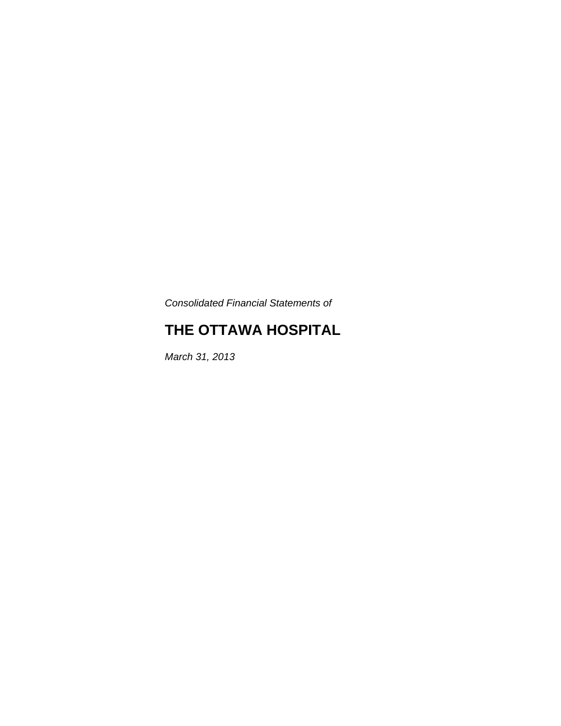*Consolidated Financial Statements of* 

# **THE OTTAWA HOSPITAL**

*March 31, 2013*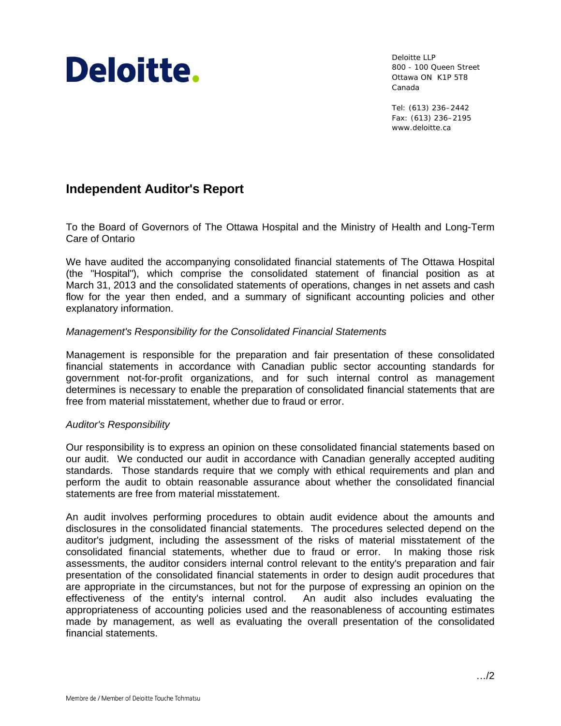

Deloitte LLP 800 - 100 Queen Street Ottawa ON K1P 5T8 Canada

Tel: (613) 236–2442 Fax: (613) 236–2195 www.deloitte.ca

# **Independent Auditor's Report**

To the Board of Governors of The Ottawa Hospital and the Ministry of Health and Long-Term Care of Ontario

We have audited the accompanying consolidated financial statements of The Ottawa Hospital (the "Hospital"), which comprise the consolidated statement of financial position as at March 31, 2013 and the consolidated statements of operations, changes in net assets and cash flow for the year then ended, and a summary of significant accounting policies and other explanatory information.

# *Management's Responsibility for the Consolidated Financial Statements*

Management is responsible for the preparation and fair presentation of these consolidated financial statements in accordance with Canadian public sector accounting standards for government not-for-profit organizations, and for such internal control as management determines is necessary to enable the preparation of consolidated financial statements that are free from material misstatement, whether due to fraud or error.

#### *Auditor's Responsibility*

Our responsibility is to express an opinion on these consolidated financial statements based on our audit. We conducted our audit in accordance with Canadian generally accepted auditing standards. Those standards require that we comply with ethical requirements and plan and perform the audit to obtain reasonable assurance about whether the consolidated financial statements are free from material misstatement.

An audit involves performing procedures to obtain audit evidence about the amounts and disclosures in the consolidated financial statements. The procedures selected depend on the auditor's judgment, including the assessment of the risks of material misstatement of the consolidated financial statements, whether due to fraud or error. In making those risk assessments, the auditor considers internal control relevant to the entity's preparation and fair presentation of the consolidated financial statements in order to design audit procedures that are appropriate in the circumstances, but not for the purpose of expressing an opinion on the effectiveness of the entity's internal control. An audit also includes evaluating the appropriateness of accounting policies used and the reasonableness of accounting estimates made by management, as well as evaluating the overall presentation of the consolidated financial statements.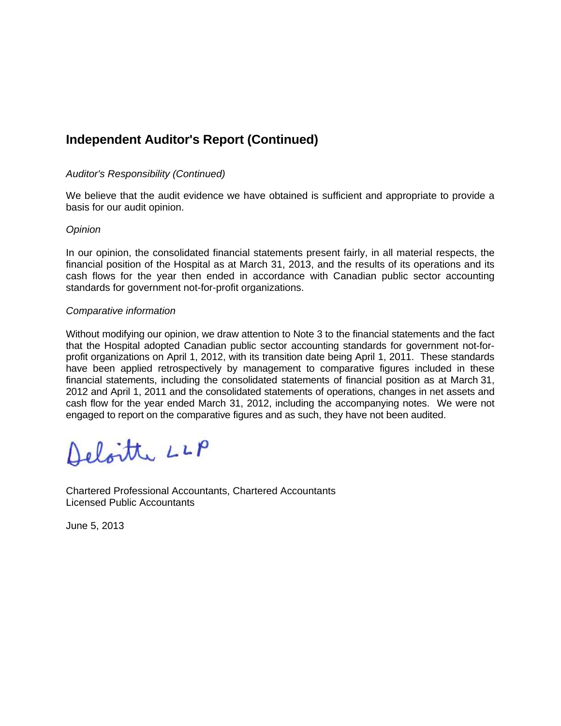# **Independent Auditor's Report (Continued)**

## *Auditor's Responsibility (Continued)*

We believe that the audit evidence we have obtained is sufficient and appropriate to provide a basis for our audit opinion.

# *Opinion*

In our opinion, the consolidated financial statements present fairly, in all material respects, the financial position of the Hospital as at March 31, 2013, and the results of its operations and its cash flows for the year then ended in accordance with Canadian public sector accounting standards for government not-for-profit organizations.

#### *Comparative information*

Without modifying our opinion, we draw attention to Note 3 to the financial statements and the fact that the Hospital adopted Canadian public sector accounting standards for government not-forprofit organizations on April 1, 2012, with its transition date being April 1, 2011. These standards have been applied retrospectively by management to comparative figures included in these financial statements, including the consolidated statements of financial position as at March 31, 2012 and April 1, 2011 and the consolidated statements of operations, changes in net assets and cash flow for the year ended March 31, 2012, including the accompanying notes. We were not engaged to report on the comparative figures and as such, they have not been audited.

Deloitte LLP

Chartered Professional Accountants, Chartered Accountants Licensed Public Accountants

June 5, 2013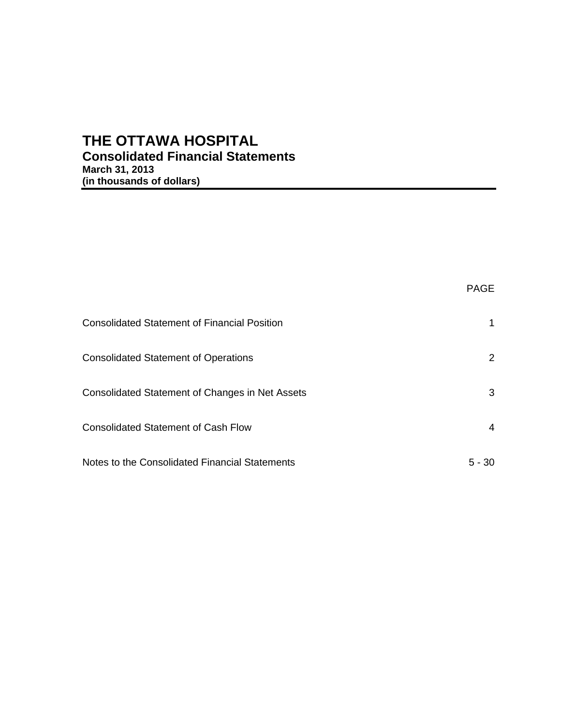# **THE OTTAWA HOSPITAL Consolidated Financial Statements March 31, 2013 (in thousands of dollars)**

|                                                        | <b>PAGE</b> |
|--------------------------------------------------------|-------------|
| <b>Consolidated Statement of Financial Position</b>    |             |
| <b>Consolidated Statement of Operations</b>            | 2           |
| <b>Consolidated Statement of Changes in Net Assets</b> | 3           |
| <b>Consolidated Statement of Cash Flow</b>             | 4           |
| Notes to the Consolidated Financial Statements         | 5 - 30      |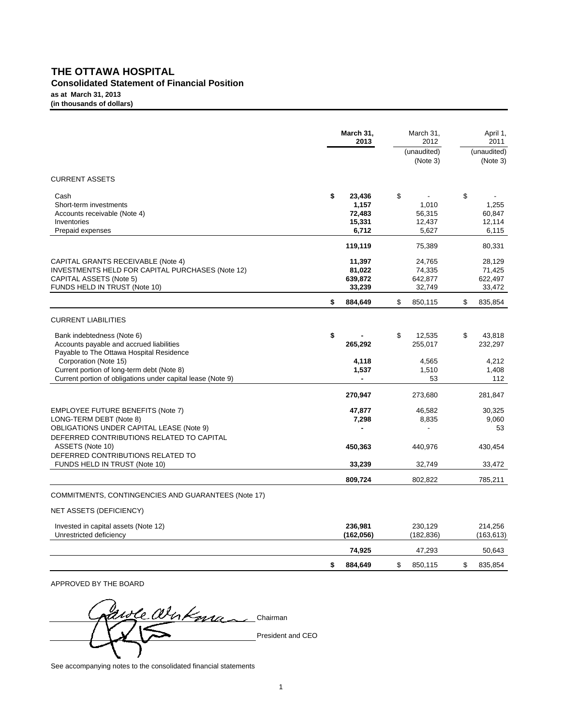# **THE OTTAWA HOSPITAL**

# **Consolidated Statement of Financial Position**

**as at March 31, 2013**

**(in thousands of dollars)**

|                                                                                      | March 31,<br>2013 |                | March 31,<br>2012 |                         | April 1,<br>2011 |                         |
|--------------------------------------------------------------------------------------|-------------------|----------------|-------------------|-------------------------|------------------|-------------------------|
|                                                                                      |                   |                |                   | (unaudited)<br>(Note 3) |                  | (unaudited)<br>(Note 3) |
| <b>CURRENT ASSETS</b>                                                                |                   |                |                   |                         |                  |                         |
| Cash                                                                                 | \$                | 23,436         | \$                |                         | \$               |                         |
| Short-term investments                                                               |                   | 1,157          |                   | 1,010                   |                  | 1,255                   |
| Accounts receivable (Note 4)                                                         |                   | 72,483         |                   | 56,315                  |                  | 60,847                  |
| Inventories                                                                          |                   | 15,331         |                   | 12,437                  |                  | 12,114                  |
| Prepaid expenses                                                                     |                   | 6,712          |                   | 5,627                   |                  | 6,115                   |
|                                                                                      |                   | 119,119        |                   | 75,389                  |                  | 80,331                  |
| CAPITAL GRANTS RECEIVABLE (Note 4)                                                   |                   | 11,397         |                   | 24,765                  |                  | 28,129                  |
| <b>INVESTMENTS HELD FOR CAPITAL PURCHASES (Note 12)</b>                              |                   | 81,022         |                   | 74,335                  |                  | 71,425                  |
| CAPITAL ASSETS (Note 5)                                                              |                   | 639,872        |                   | 642,877                 |                  | 622,497                 |
| FUNDS HELD IN TRUST (Note 10)                                                        |                   | 33,239         |                   | 32,749                  |                  | 33,472                  |
|                                                                                      | \$                | 884,649        | \$                | 850,115                 | \$               | 835,854                 |
| <b>CURRENT LIABILITIES</b>                                                           |                   |                |                   |                         |                  |                         |
| Bank indebtedness (Note 6)                                                           | \$                |                | \$                | 12,535                  | \$               | 43,818                  |
| Accounts payable and accrued liabilities<br>Payable to The Ottawa Hospital Residence |                   | 265,292        |                   | 255,017                 |                  | 232,297                 |
| Corporation (Note 15)                                                                |                   | 4,118          |                   | 4,565                   |                  | 4,212                   |
| Current portion of long-term debt (Note 8)                                           |                   | 1,537          |                   | 1,510                   |                  | 1,408                   |
| Current portion of obligations under capital lease (Note 9)                          |                   | $\blacksquare$ |                   | 53                      |                  | 112                     |
|                                                                                      |                   |                |                   |                         |                  |                         |
|                                                                                      |                   | 270,947        |                   | 273,680                 |                  | 281,847                 |
| <b>EMPLOYEE FUTURE BENEFITS (Note 7)</b>                                             |                   | 47,877         |                   | 46,582                  |                  | 30,325                  |
| LONG-TERM DEBT (Note 8)                                                              |                   | 7,298          |                   | 8,835                   |                  | 9,060                   |
| <b>OBLIGATIONS UNDER CAPITAL LEASE (Note 9)</b>                                      |                   |                |                   |                         |                  | 53                      |
| DEFERRED CONTRIBUTIONS RELATED TO CAPITAL                                            |                   |                |                   |                         |                  |                         |
| ASSETS (Note 10)                                                                     |                   | 450,363        |                   | 440,976                 |                  | 430,454                 |
| DEFERRED CONTRIBUTIONS RELATED TO                                                    |                   |                |                   |                         |                  |                         |
| FUNDS HELD IN TRUST (Note 10)                                                        |                   | 33,239         |                   | 32,749                  |                  | 33,472                  |
|                                                                                      |                   | 809,724        |                   | 802,822                 |                  | 785,211                 |
| COMMITMENTS, CONTINGENCIES AND GUARANTEES (Note 17)                                  |                   |                |                   |                         |                  |                         |
| <b>NET ASSETS (DEFICIENCY)</b>                                                       |                   |                |                   |                         |                  |                         |
| Invested in capital assets (Note 12)                                                 |                   | 236,981        |                   | 230,129                 |                  | 214,256                 |
| Unrestricted deficiency                                                              |                   | (162, 056)     |                   | (182, 836)              |                  | (163, 613)              |
|                                                                                      |                   | 74,925         |                   | 47,293                  |                  | 50,643                  |
|                                                                                      | \$                | 884,649        | \$                | 850,115                 | \$               | 835,854                 |
|                                                                                      |                   |                |                   |                         |                  |                         |

#### APPROVED BY THE BOARD

wele alukana President and CEO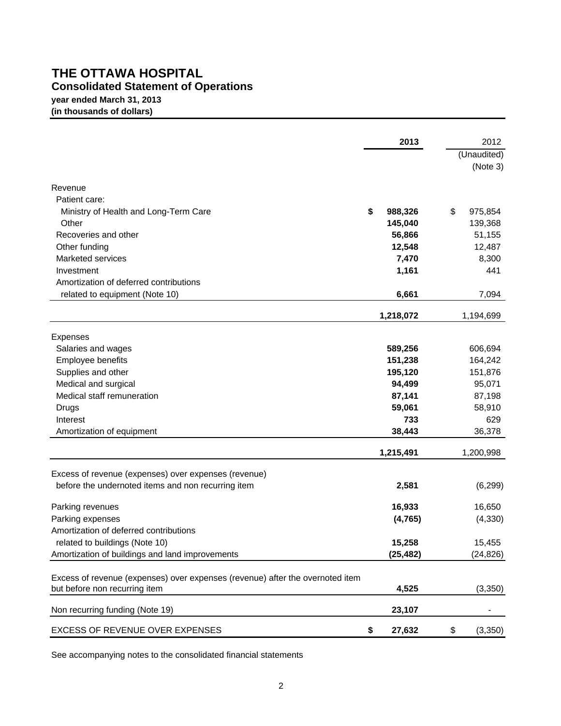# **THE OTTAWA HOSPITAL Consolidated Statement of Operations year ended March 31, 2013**

**(in thousands of dollars)**

|                                                                               | 2013          | 2012          |
|-------------------------------------------------------------------------------|---------------|---------------|
|                                                                               |               | (Unaudited)   |
|                                                                               |               | (Note 3)      |
| Revenue                                                                       |               |               |
| Patient care:                                                                 |               |               |
| Ministry of Health and Long-Term Care                                         | \$<br>988,326 | \$<br>975,854 |
| Other                                                                         | 145,040       | 139,368       |
| Recoveries and other                                                          | 56,866        | 51,155        |
| Other funding                                                                 | 12,548        | 12,487        |
| Marketed services                                                             | 7,470         | 8,300         |
| Investment                                                                    | 1,161         | 441           |
| Amortization of deferred contributions                                        |               |               |
| related to equipment (Note 10)                                                | 6,661         | 7,094         |
|                                                                               | 1,218,072     | 1,194,699     |
|                                                                               |               |               |
| Expenses<br>Salaries and wages                                                | 589,256       | 606,694       |
| Employee benefits                                                             | 151,238       | 164,242       |
| Supplies and other                                                            | 195,120       | 151,876       |
| Medical and surgical                                                          | 94,499        | 95,071        |
| Medical staff remuneration                                                    | 87,141        | 87,198        |
| Drugs                                                                         | 59,061        | 58,910        |
| Interest                                                                      | 733           | 629           |
| Amortization of equipment                                                     | 38,443        | 36,378        |
|                                                                               | 1,215,491     | 1,200,998     |
|                                                                               |               |               |
| Excess of revenue (expenses) over expenses (revenue)                          |               |               |
| before the undernoted items and non recurring item                            | 2,581         | (6, 299)      |
| Parking revenues                                                              | 16,933        | 16,650        |
| Parking expenses                                                              | (4,765)       | (4,330)       |
| Amortization of deferred contributions                                        |               |               |
| related to buildings (Note 10)                                                | 15,258        | 15,455        |
| Amortization of buildings and land improvements                               | (25, 482)     | (24, 826)     |
|                                                                               |               |               |
| Excess of revenue (expenses) over expenses (revenue) after the overnoted item |               |               |
| but before non recurring item                                                 | 4,525         | (3,350)       |
| Non recurring funding (Note 19)                                               | 23,107        |               |
| EXCESS OF REVENUE OVER EXPENSES                                               | \$<br>27,632  | \$<br>(3,350) |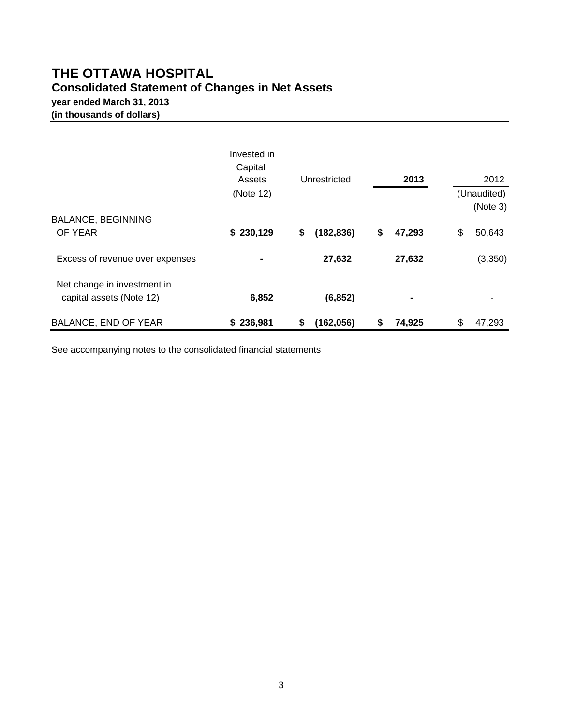# **THE OTTAWA HOSPITAL Consolidated Statement of Changes in Net Assets year ended March 31, 2013**

**(in thousands of dollars)**

|                                 | Invested in<br>Capital<br>Assets<br>(Note 12) | Unrestricted     | 2013         | 2012<br>(Unaudited)<br>(Note 3) |
|---------------------------------|-----------------------------------------------|------------------|--------------|---------------------------------|
| <b>BALANCE, BEGINNING</b>       |                                               |                  |              |                                 |
| OF YEAR                         | \$230,129                                     | (182, 836)<br>\$ | \$<br>47,293 | \$<br>50,643                    |
| Excess of revenue over expenses |                                               | 27,632           | 27,632       | (3,350)                         |
| Net change in investment in     |                                               |                  |              |                                 |
| capital assets (Note 12)        | 6,852                                         | (6, 852)         |              |                                 |
| <b>BALANCE, END OF YEAR</b>     | \$236,981                                     | (162, 056)<br>\$ | \$<br>74,925 | \$<br>47,293                    |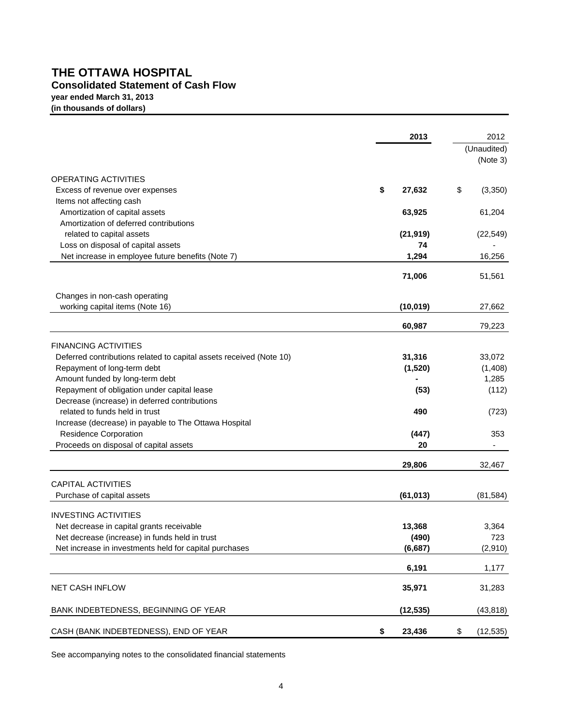# **THE OTTAWA HOSPITAL Consolidated Statement of Cash Flow**

**year ended March 31, 2013 (in thousands of dollars)**

|                                                                          | 2013         | 2012 |             |  |
|--------------------------------------------------------------------------|--------------|------|-------------|--|
|                                                                          |              |      | (Unaudited) |  |
|                                                                          |              |      | (Note 3)    |  |
| OPERATING ACTIVITIES                                                     |              |      |             |  |
| Excess of revenue over expenses                                          | \$<br>27,632 | \$   | (3,350)     |  |
| Items not affecting cash                                                 |              |      |             |  |
| Amortization of capital assets<br>Amortization of deferred contributions | 63,925       |      | 61,204      |  |
| related to capital assets                                                | (21, 919)    |      | (22, 549)   |  |
| Loss on disposal of capital assets                                       | 74           |      |             |  |
| Net increase in employee future benefits (Note 7)                        | 1,294        |      | 16,256      |  |
|                                                                          | 71,006       |      | 51,561      |  |
|                                                                          |              |      |             |  |
| Changes in non-cash operating                                            |              |      |             |  |
| working capital items (Note 16)                                          | (10, 019)    |      | 27,662      |  |
|                                                                          | 60,987       |      | 79,223      |  |
| <b>FINANCING ACTIVITIES</b>                                              |              |      |             |  |
| Deferred contributions related to capital assets received (Note 10)      | 31,316       |      | 33,072      |  |
| Repayment of long-term debt                                              | (1,520)      |      | (1,408)     |  |
| Amount funded by long-term debt                                          |              |      | 1,285       |  |
| Repayment of obligation under capital lease                              | (53)         |      | (112)       |  |
| Decrease (increase) in deferred contributions                            |              |      |             |  |
| related to funds held in trust                                           | 490          |      | (723)       |  |
| Increase (decrease) in payable to The Ottawa Hospital                    |              |      |             |  |
| Residence Corporation                                                    | (447)        |      | 353         |  |
| Proceeds on disposal of capital assets                                   | 20           |      |             |  |
|                                                                          | 29,806       |      | 32,467      |  |
| <b>CAPITAL ACTIVITIES</b>                                                |              |      |             |  |
| Purchase of capital assets                                               | (61, 013)    |      | (81, 584)   |  |
| <b>INVESTING ACTIVITIES</b>                                              |              |      |             |  |
| Net decrease in capital grants receivable                                | 13,368       |      | 3,364       |  |
| Net decrease (increase) in funds held in trust                           | (490)        |      | 723         |  |
| Net increase in investments held for capital purchases                   | (6,687)      |      | (2,910)     |  |
|                                                                          | 6,191        |      | 1,177       |  |
|                                                                          |              |      |             |  |
| NET CASH INFLOW                                                          | 35,971       |      | 31,283      |  |
| BANK INDEBTEDNESS, BEGINNING OF YEAR                                     | (12, 535)    |      | (43, 818)   |  |
| CASH (BANK INDEBTEDNESS), END OF YEAR                                    | \$<br>23,436 | \$   | (12, 535)   |  |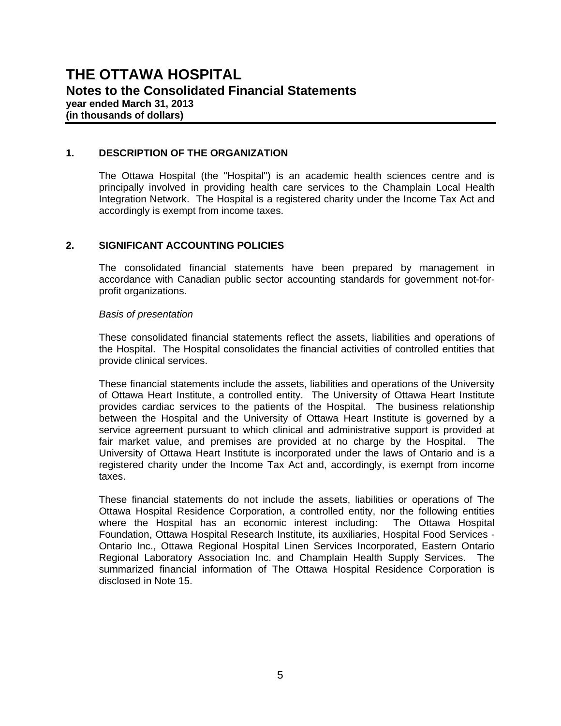# **1. DESCRIPTION OF THE ORGANIZATION**

 The Ottawa Hospital (the "Hospital") is an academic health sciences centre and is principally involved in providing health care services to the Champlain Local Health Integration Network. The Hospital is a registered charity under the Income Tax Act and accordingly is exempt from income taxes.

# **2. SIGNIFICANT ACCOUNTING POLICIES**

The consolidated financial statements have been prepared by management in accordance with Canadian public sector accounting standards for government not-forprofit organizations.

#### *Basis of presentation*

These consolidated financial statements reflect the assets, liabilities and operations of the Hospital. The Hospital consolidates the financial activities of controlled entities that provide clinical services.

These financial statements include the assets, liabilities and operations of the University of Ottawa Heart Institute, a controlled entity. The University of Ottawa Heart Institute provides cardiac services to the patients of the Hospital. The business relationship between the Hospital and the University of Ottawa Heart Institute is governed by a service agreement pursuant to which clinical and administrative support is provided at fair market value, and premises are provided at no charge by the Hospital. The University of Ottawa Heart Institute is incorporated under the laws of Ontario and is a registered charity under the Income Tax Act and, accordingly, is exempt from income taxes.

These financial statements do not include the assets, liabilities or operations of The Ottawa Hospital Residence Corporation, a controlled entity, nor the following entities where the Hospital has an economic interest including: The Ottawa Hospital Foundation, Ottawa Hospital Research Institute, its auxiliaries, Hospital Food Services - Ontario Inc., Ottawa Regional Hospital Linen Services Incorporated, Eastern Ontario Regional Laboratory Association Inc. and Champlain Health Supply Services. The summarized financial information of The Ottawa Hospital Residence Corporation is disclosed in Note 15.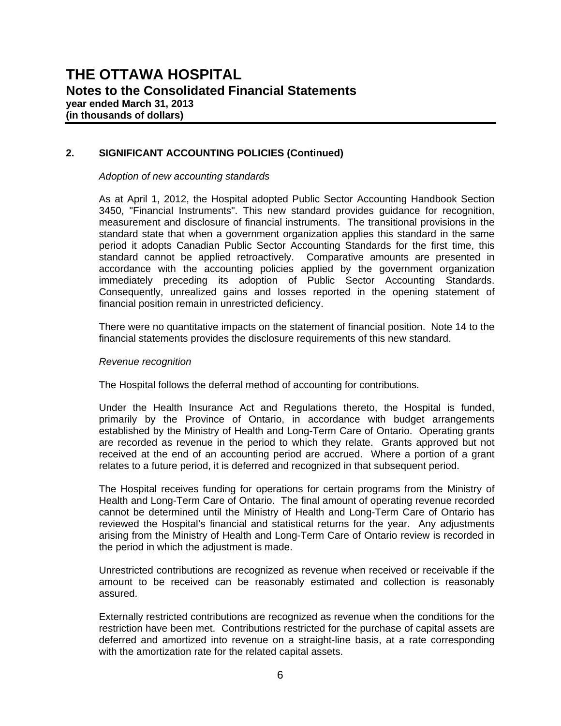# **2. SIGNIFICANT ACCOUNTING POLICIES (Continued)**

## *Adoption of new accounting standards*

As at April 1, 2012, the Hospital adopted Public Sector Accounting Handbook Section 3450, "Financial Instruments". This new standard provides guidance for recognition, measurement and disclosure of financial instruments. The transitional provisions in the standard state that when a government organization applies this standard in the same period it adopts Canadian Public Sector Accounting Standards for the first time, this standard cannot be applied retroactively. Comparative amounts are presented in accordance with the accounting policies applied by the government organization immediately preceding its adoption of Public Sector Accounting Standards. Consequently, unrealized gains and losses reported in the opening statement of financial position remain in unrestricted deficiency.

There were no quantitative impacts on the statement of financial position. Note 14 to the financial statements provides the disclosure requirements of this new standard.

#### *Revenue recognition*

The Hospital follows the deferral method of accounting for contributions.

Under the Health Insurance Act and Regulations thereto, the Hospital is funded, primarily by the Province of Ontario, in accordance with budget arrangements established by the Ministry of Health and Long-Term Care of Ontario. Operating grants are recorded as revenue in the period to which they relate. Grants approved but not received at the end of an accounting period are accrued. Where a portion of a grant relates to a future period, it is deferred and recognized in that subsequent period.

The Hospital receives funding for operations for certain programs from the Ministry of Health and Long-Term Care of Ontario. The final amount of operating revenue recorded cannot be determined until the Ministry of Health and Long-Term Care of Ontario has reviewed the Hospital's financial and statistical returns for the year. Any adjustments arising from the Ministry of Health and Long-Term Care of Ontario review is recorded in the period in which the adjustment is made.

Unrestricted contributions are recognized as revenue when received or receivable if the amount to be received can be reasonably estimated and collection is reasonably assured.

Externally restricted contributions are recognized as revenue when the conditions for the restriction have been met. Contributions restricted for the purchase of capital assets are deferred and amortized into revenue on a straight-line basis, at a rate corresponding with the amortization rate for the related capital assets.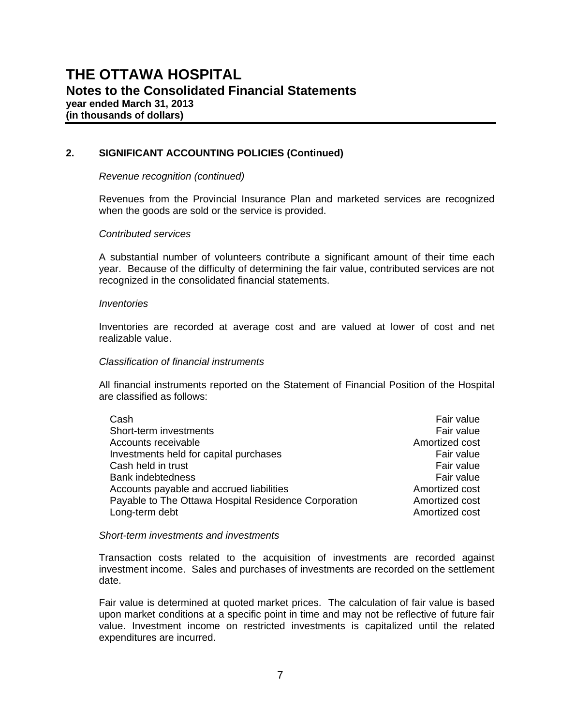# **2. SIGNIFICANT ACCOUNTING POLICIES (Continued)**

#### *Revenue recognition (continued)*

Revenues from the Provincial Insurance Plan and marketed services are recognized when the goods are sold or the service is provided.

#### *Contributed services*

A substantial number of volunteers contribute a significant amount of their time each year. Because of the difficulty of determining the fair value, contributed services are not recognized in the consolidated financial statements.

#### *Inventories*

Inventories are recorded at average cost and are valued at lower of cost and net realizable value.

#### *Classification of financial instruments*

All financial instruments reported on the Statement of Financial Position of the Hospital are classified as follows:

| Cash                                                 | Fair value     |
|------------------------------------------------------|----------------|
| Short-term investments                               | Fair value     |
| Accounts receivable                                  | Amortized cost |
| Investments held for capital purchases               | Fair value     |
| Cash held in trust                                   | Fair value     |
| <b>Bank indebtedness</b>                             | Fair value     |
| Accounts payable and accrued liabilities             | Amortized cost |
| Payable to The Ottawa Hospital Residence Corporation | Amortized cost |
| Long-term debt                                       | Amortized cost |

#### *Short-term investments and investments*

Transaction costs related to the acquisition of investments are recorded against investment income. Sales and purchases of investments are recorded on the settlement date.

Fair value is determined at quoted market prices. The calculation of fair value is based upon market conditions at a specific point in time and may not be reflective of future fair value. Investment income on restricted investments is capitalized until the related expenditures are incurred.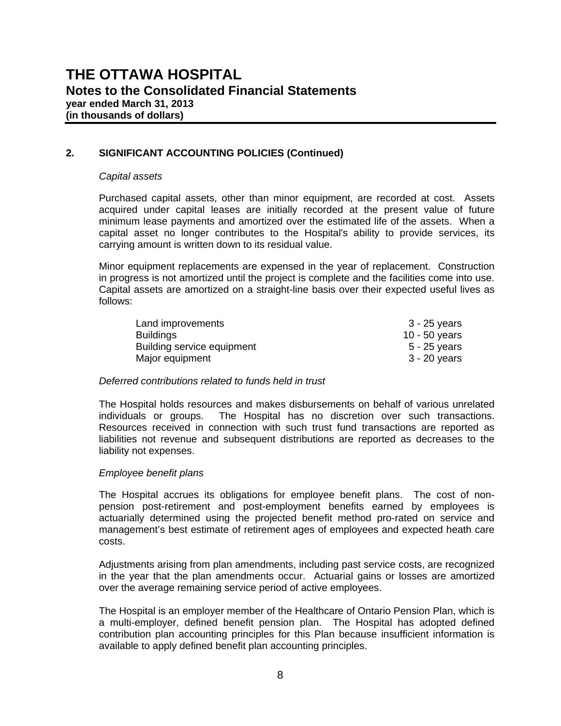# **2. SIGNIFICANT ACCOUNTING POLICIES (Continued)**

#### *Capital assets*

Purchased capital assets, other than minor equipment, are recorded at cost. Assets acquired under capital leases are initially recorded at the present value of future minimum lease payments and amortized over the estimated life of the assets. When a capital asset no longer contributes to the Hospital's ability to provide services, its carrying amount is written down to its residual value.

Minor equipment replacements are expensed in the year of replacement. Construction in progress is not amortized until the project is complete and the facilities come into use. Capital assets are amortized on a straight-line basis over their expected useful lives as follows:

| Land improvements          | 3 - 25 years   |
|----------------------------|----------------|
| <b>Buildings</b>           | 10 - 50 years  |
| Building service equipment | $5 - 25$ years |
| Major equipment            | $3 - 20$ years |

#### *Deferred contributions related to funds held in trust*

The Hospital holds resources and makes disbursements on behalf of various unrelated individuals or groups. The Hospital has no discretion over such transactions. Resources received in connection with such trust fund transactions are reported as liabilities not revenue and subsequent distributions are reported as decreases to the liability not expenses.

#### *Employee benefit plans*

The Hospital accrues its obligations for employee benefit plans. The cost of nonpension post-retirement and post-employment benefits earned by employees is actuarially determined using the projected benefit method pro-rated on service and management's best estimate of retirement ages of employees and expected heath care costs.

Adjustments arising from plan amendments, including past service costs, are recognized in the year that the plan amendments occur. Actuarial gains or losses are amortized over the average remaining service period of active employees.

The Hospital is an employer member of the Healthcare of Ontario Pension Plan, which is a multi-employer, defined benefit pension plan. The Hospital has adopted defined contribution plan accounting principles for this Plan because insufficient information is available to apply defined benefit plan accounting principles.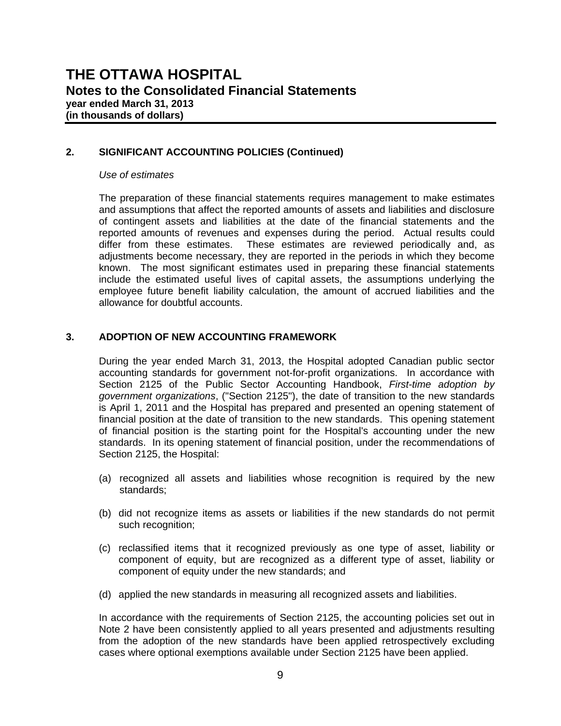# **2. SIGNIFICANT ACCOUNTING POLICIES (Continued)**

#### *Use of estimates*

The preparation of these financial statements requires management to make estimates and assumptions that affect the reported amounts of assets and liabilities and disclosure of contingent assets and liabilities at the date of the financial statements and the reported amounts of revenues and expenses during the period. Actual results could differ from these estimates. These estimates are reviewed periodically and, as adjustments become necessary, they are reported in the periods in which they become known. The most significant estimates used in preparing these financial statements include the estimated useful lives of capital assets, the assumptions underlying the employee future benefit liability calculation, the amount of accrued liabilities and the allowance for doubtful accounts.

# **3. ADOPTION OF NEW ACCOUNTING FRAMEWORK**

During the year ended March 31, 2013, the Hospital adopted Canadian public sector accounting standards for government not-for-profit organizations. In accordance with Section 2125 of the Public Sector Accounting Handbook, *First-time adoption by government organizations*, ("Section 2125"), the date of transition to the new standards is April 1, 2011 and the Hospital has prepared and presented an opening statement of financial position at the date of transition to the new standards. This opening statement of financial position is the starting point for the Hospital's accounting under the new standards. In its opening statement of financial position, under the recommendations of Section 2125, the Hospital:

- (a) recognized all assets and liabilities whose recognition is required by the new standards;
- (b) did not recognize items as assets or liabilities if the new standards do not permit such recognition;
- (c) reclassified items that it recognized previously as one type of asset, liability or component of equity, but are recognized as a different type of asset, liability or component of equity under the new standards; and
- (d) applied the new standards in measuring all recognized assets and liabilities.

In accordance with the requirements of Section 2125, the accounting policies set out in Note 2 have been consistently applied to all years presented and adjustments resulting from the adoption of the new standards have been applied retrospectively excluding cases where optional exemptions available under Section 2125 have been applied.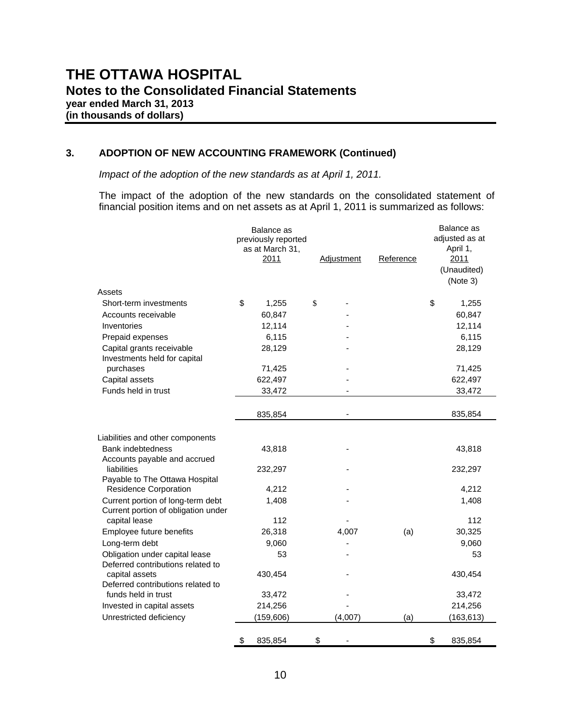# **3. ADOPTION OF NEW ACCOUNTING FRAMEWORK (Continued)**

*Impact of the adoption of the new standards as at April 1, 2011.* 

The impact of the adoption of the new standards on the consolidated statement of financial position items and on net assets as at April 1, 2011 is summarized as follows:

|                                                           | Balance as<br>previously reported<br>as at March 31,<br>2011 | Adjustment | Reference | Balance as<br>adjusted as at<br>April 1,<br>2011<br>(Unaudited)<br>(Note 3) |
|-----------------------------------------------------------|--------------------------------------------------------------|------------|-----------|-----------------------------------------------------------------------------|
| Assets                                                    |                                                              |            |           |                                                                             |
| Short-term investments                                    | \$<br>1,255                                                  | \$         |           | \$<br>1,255                                                                 |
| Accounts receivable                                       | 60,847                                                       |            |           | 60,847                                                                      |
| Inventories                                               | 12,114                                                       |            |           | 12,114                                                                      |
| Prepaid expenses                                          | 6,115                                                        |            |           | 6,115                                                                       |
| Capital grants receivable<br>Investments held for capital | 28,129                                                       |            |           | 28,129                                                                      |
| purchases                                                 | 71,425                                                       |            |           | 71,425                                                                      |
| Capital assets                                            | 622,497                                                      |            |           | 622,497                                                                     |
| Funds held in trust                                       | 33,472                                                       |            |           | 33,472                                                                      |
|                                                           | 835,854                                                      |            |           | 835,854                                                                     |
| Liabilities and other components                          |                                                              |            |           |                                                                             |
| <b>Bank indebtedness</b>                                  | 43,818                                                       |            |           | 43,818                                                                      |
| Accounts payable and accrued                              |                                                              |            |           |                                                                             |
| liabilities                                               | 232,297                                                      |            |           | 232,297                                                                     |
| Payable to The Ottawa Hospital                            |                                                              |            |           |                                                                             |
| <b>Residence Corporation</b>                              | 4,212                                                        |            |           | 4,212                                                                       |
| Current portion of long-term debt                         | 1,408                                                        |            |           | 1,408                                                                       |
| Current portion of obligation under<br>capital lease      | 112                                                          |            |           | 112                                                                         |
| Employee future benefits                                  | 26,318                                                       | 4,007      | (a)       | 30,325                                                                      |
| Long-term debt                                            | 9,060                                                        |            |           | 9,060                                                                       |
| Obligation under capital lease                            | 53                                                           |            |           | 53                                                                          |
| Deferred contributions related to                         |                                                              |            |           |                                                                             |
| capital assets                                            | 430,454                                                      |            |           | 430,454                                                                     |
| Deferred contributions related to                         |                                                              |            |           |                                                                             |
| funds held in trust                                       | 33,472                                                       |            |           | 33,472                                                                      |
| Invested in capital assets                                | 214,256                                                      |            |           | 214,256                                                                     |
| Unrestricted deficiency                                   | (159, 606)                                                   | (4,007)    | (a)       | (163, 613)                                                                  |
|                                                           | \$<br>835,854                                                | \$         |           | \$<br>835,854                                                               |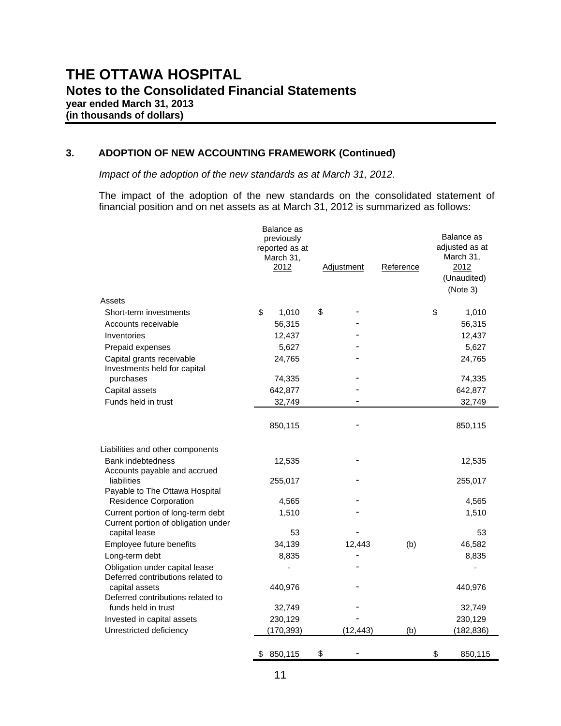# **3. ADOPTION OF NEW ACCOUNTING FRAMEWORK (Continued)**

*Impact of the adoption of the new standards as at March 31, 2012.* 

The impact of the adoption of the new standards on the consolidated statement of financial position and on net assets as at March 31, 2012 is summarized as follows:

|                                                                     | Balance as<br>previously<br>reported as at<br>March 31,<br>2012 | Adjustment | Reference | Balance as<br>adjusted as at<br>March 31,<br>2012<br>(Unaudited)<br>(Note 3) |
|---------------------------------------------------------------------|-----------------------------------------------------------------|------------|-----------|------------------------------------------------------------------------------|
| Assets                                                              |                                                                 |            |           |                                                                              |
| Short-term investments                                              | \$<br>1,010                                                     | \$         |           | \$<br>1,010                                                                  |
| Accounts receivable                                                 | 56,315                                                          |            |           | 56,315                                                                       |
| Inventories                                                         | 12,437                                                          |            |           | 12,437                                                                       |
| Prepaid expenses                                                    | 5,627                                                           |            |           | 5,627                                                                        |
| Capital grants receivable<br>Investments held for capital           | 24,765                                                          |            |           | 24,765                                                                       |
| purchases                                                           | 74,335                                                          |            |           | 74,335                                                                       |
| Capital assets                                                      | 642,877                                                         |            |           | 642,877                                                                      |
| Funds held in trust                                                 | 32,749                                                          |            |           | 32,749                                                                       |
|                                                                     | 850,115                                                         |            |           | 850,115                                                                      |
| Liabilities and other components                                    |                                                                 |            |           |                                                                              |
| <b>Bank indebtedness</b>                                            | 12,535                                                          |            |           | 12,535                                                                       |
| Accounts payable and accrued                                        |                                                                 |            |           |                                                                              |
| liabilities                                                         | 255,017                                                         |            |           | 255,017                                                                      |
| Payable to The Ottawa Hospital                                      |                                                                 |            |           |                                                                              |
| <b>Residence Corporation</b>                                        | 4,565                                                           |            |           | 4,565                                                                        |
| Current portion of long-term debt                                   | 1,510                                                           |            |           | 1,510                                                                        |
| Current portion of obligation under                                 |                                                                 |            |           |                                                                              |
| capital lease                                                       | 53                                                              |            |           | 53                                                                           |
| Employee future benefits                                            | 34,139                                                          | 12,443     | (b)       | 46,582                                                                       |
| Long-term debt                                                      | 8,835                                                           |            |           | 8,835                                                                        |
| Obligation under capital lease<br>Deferred contributions related to |                                                                 |            |           |                                                                              |
| capital assets                                                      | 440,976                                                         |            |           | 440,976                                                                      |
| Deferred contributions related to                                   |                                                                 |            |           |                                                                              |
| funds held in trust                                                 | 32,749                                                          |            |           | 32,749                                                                       |
| Invested in capital assets                                          | 230,129                                                         |            |           | 230,129                                                                      |
| Unrestricted deficiency                                             | (170, 393)                                                      | (12, 443)  | (b)       | (182, 836)                                                                   |
|                                                                     |                                                                 |            |           |                                                                              |
|                                                                     | \$<br>850,115                                                   | \$         |           | \$<br>850,115                                                                |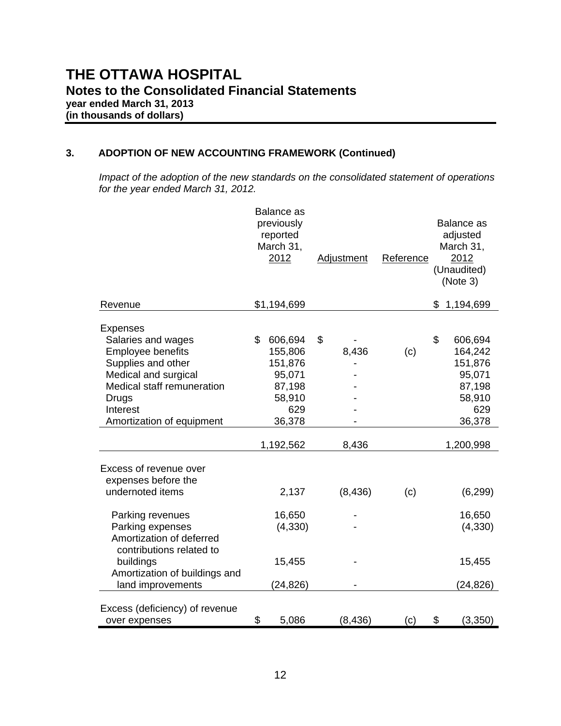# **3. ADOPTION OF NEW ACCOUNTING FRAMEWORK (Continued)**

*Impact of the adoption of the new standards on the consolidated statement of operations for the year ended March 31, 2012.* 

|                                                                        | <b>Balance</b> as<br>previously<br>reported<br>March 31,<br>2012 |          | <b>Adjustment</b><br>Reference |     | Balance as<br>adjusted<br>March 31,<br>2012<br>(Unaudited)<br>(Note 3) |           |  |
|------------------------------------------------------------------------|------------------------------------------------------------------|----------|--------------------------------|-----|------------------------------------------------------------------------|-----------|--|
| Revenue                                                                | \$1,194,699                                                      |          |                                |     | \$                                                                     | 1,194,699 |  |
| <b>Expenses</b>                                                        |                                                                  |          |                                |     |                                                                        |           |  |
| Salaries and wages                                                     | \$                                                               | 606,694  | \$                             |     | \$                                                                     | 606,694   |  |
| <b>Employee benefits</b>                                               |                                                                  | 155,806  | 8,436                          | (c) |                                                                        | 164,242   |  |
| Supplies and other                                                     |                                                                  | 151,876  |                                |     |                                                                        | 151,876   |  |
| Medical and surgical                                                   |                                                                  | 95,071   |                                |     |                                                                        | 95,071    |  |
| Medical staff remuneration                                             |                                                                  | 87,198   |                                |     |                                                                        | 87,198    |  |
| Drugs                                                                  |                                                                  | 58,910   |                                |     |                                                                        | 58,910    |  |
| Interest                                                               |                                                                  | 629      |                                |     |                                                                        | 629       |  |
| Amortization of equipment                                              |                                                                  | 36,378   |                                |     |                                                                        | 36,378    |  |
|                                                                        | 1,192,562                                                        |          | 8,436                          |     |                                                                        | 1,200,998 |  |
| Excess of revenue over<br>expenses before the                          |                                                                  |          |                                |     |                                                                        |           |  |
| undernoted items                                                       |                                                                  | 2,137    | (8, 436)                       | (c) |                                                                        | (6, 299)  |  |
| Parking revenues                                                       |                                                                  | 16,650   |                                |     |                                                                        | 16,650    |  |
| Parking expenses<br>Amortization of deferred                           |                                                                  | (4, 330) |                                |     |                                                                        | (4,330)   |  |
| contributions related to<br>buildings<br>Amortization of buildings and |                                                                  | 15,455   |                                |     |                                                                        | 15,455    |  |
| land improvements                                                      |                                                                  | (24,826) |                                |     |                                                                        | (24, 826) |  |
| Excess (deficiency) of revenue                                         | \$                                                               |          |                                |     |                                                                        |           |  |
| over expenses                                                          |                                                                  | 5,086    | (8, 436)                       | (c) | \$                                                                     | (3,350)   |  |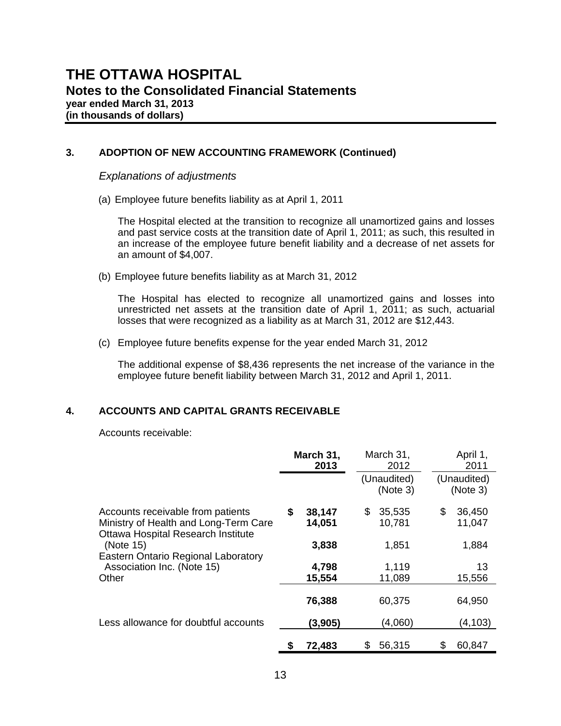# **3. ADOPTION OF NEW ACCOUNTING FRAMEWORK (Continued)**

#### *Explanations of adjustments*

(a) Employee future benefits liability as at April 1, 2011

The Hospital elected at the transition to recognize all unamortized gains and losses and past service costs at the transition date of April 1, 2011; as such, this resulted in an increase of the employee future benefit liability and a decrease of net assets for an amount of \$4,007.

(b) Employee future benefits liability as at March 31, 2012

The Hospital has elected to recognize all unamortized gains and losses into unrestricted net assets at the transition date of April 1, 2011; as such, actuarial losses that were recognized as a liability as at March 31, 2012 are \$12,443.

(c) Employee future benefits expense for the year ended March 31, 2012

The additional expense of \$8,436 represents the net increase of the variance in the employee future benefit liability between March 31, 2012 and April 1, 2011.

# **4. ACCOUNTS AND CAPITAL GRANTS RECEIVABLE**

Accounts receivable:

|                                                                                                                  | March 31,<br>2013 |                  | March 31,<br>2012       |    | April 1,<br>2011        |
|------------------------------------------------------------------------------------------------------------------|-------------------|------------------|-------------------------|----|-------------------------|
|                                                                                                                  |                   |                  | (Unaudited)<br>(Note 3) |    | (Unaudited)<br>(Note 3) |
| Accounts receivable from patients<br>Ministry of Health and Long-Term Care<br>Ottawa Hospital Research Institute | \$                | 38,147<br>14,051 | 35,535<br>\$<br>10,781  | \$ | 36,450<br>11,047        |
| (Note 15)<br>Eastern Ontario Regional Laboratory                                                                 |                   | 3,838            | 1,851                   |    | 1,884                   |
| Association Inc. (Note 15)<br>Other                                                                              |                   | 4,798<br>15,554  | 1,119<br>11,089         |    | 13<br>15,556            |
|                                                                                                                  |                   | 76,388           | 60,375                  |    | 64,950                  |
| Less allowance for doubtful accounts                                                                             |                   | (3,905)          | (4,060)                 |    | (4,103)                 |
|                                                                                                                  | \$                | 72,483           | 56,315<br>S.            | S  | 60,847                  |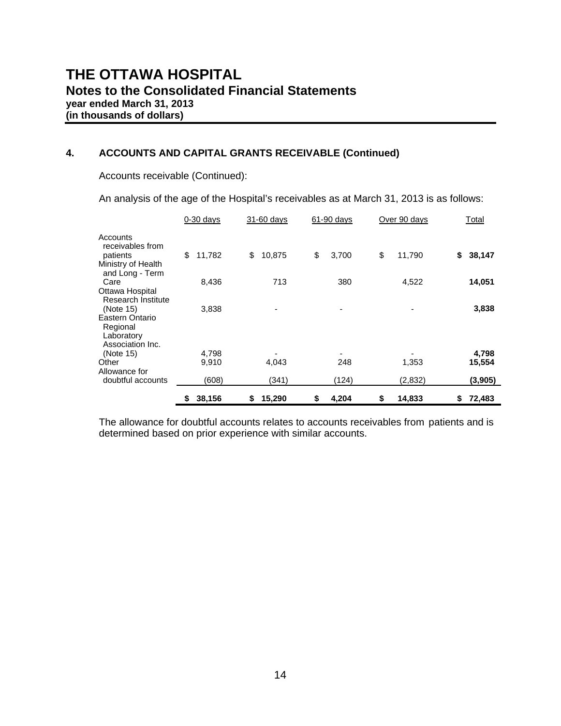# **THE OTTAWA HOSPITAL Notes to the Consolidated Financial Statements year ended March 31, 2013**

**(in thousands of dollars)** 

# **4. ACCOUNTS AND CAPITAL GRANTS RECEIVABLE (Continued)**

Accounts receivable (Continued):

An analysis of the age of the Hospital's receivables as at March 31, 2013 is as follows:

|                                                                            | $0-30$ days  | 31-60 days   | 61-90 days  | Over 90 days | Total        |
|----------------------------------------------------------------------------|--------------|--------------|-------------|--------------|--------------|
| Accounts<br>receivables from<br>patients<br>Ministry of Health             | \$<br>11,782 | \$<br>10,875 | \$<br>3,700 | \$<br>11,790 | \$<br>38,147 |
| and Long - Term<br>Care                                                    | 8,436        | 713          | 380         | 4,522        | 14,051       |
| Ottawa Hospital<br><b>Research Institute</b>                               |              |              |             |              |              |
| (Note 15)<br>Eastern Ontario<br>Regional<br>Laboratory<br>Association Inc. | 3,838        |              |             |              | 3,838        |
| (Note 15)                                                                  | 4,798        |              | ۰.          |              | 4,798        |
| Other<br>Allowance for                                                     | 9,910        | 4,043        | 248         | 1,353        | 15,554       |
| doubtful accounts                                                          | (608)        | (341)        | (124)       | (2,832)      | (3,905)      |
|                                                                            | 38,156<br>\$ | 15,290<br>\$ | 4,204<br>\$ | \$<br>14,833 | 72,483<br>\$ |

 The allowance for doubtful accounts relates to accounts receivables from patients and is determined based on prior experience with similar accounts.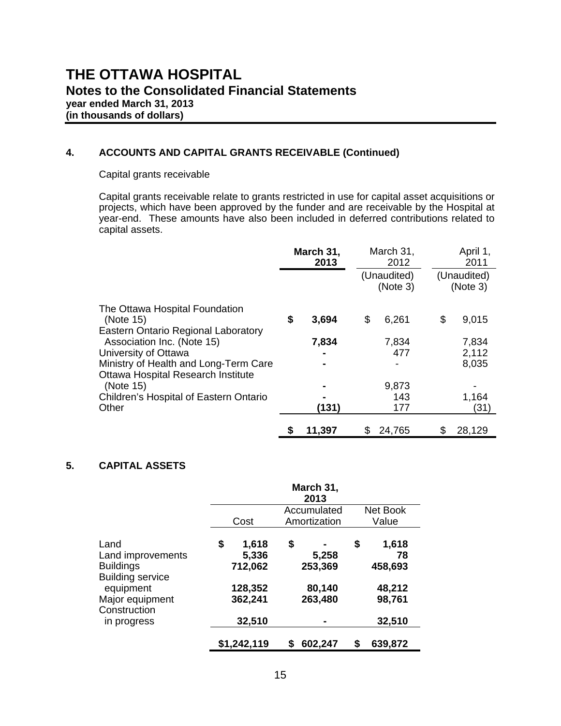# **4. ACCOUNTS AND CAPITAL GRANTS RECEIVABLE (Continued)**

#### Capital grants receivable

Capital grants receivable relate to grants restricted in use for capital asset acquisitions or projects, which have been approved by the funder and are receivable by the Hospital at year-end. These amounts have also been included in deferred contributions related to capital assets.

|                                                                                    | March 31,<br>2013 |        | March 31,<br>2012 |                         | April 1,<br>2011 |                         |
|------------------------------------------------------------------------------------|-------------------|--------|-------------------|-------------------------|------------------|-------------------------|
|                                                                                    |                   |        |                   | (Unaudited)<br>(Note 3) |                  | (Unaudited)<br>(Note 3) |
| The Ottawa Hospital Foundation<br>(Note 15)<br>Eastern Ontario Regional Laboratory | \$                | 3,694  | \$                | 6,261                   | \$               | 9,015                   |
| Association Inc. (Note 15)                                                         |                   | 7,834  |                   | 7,834                   |                  | 7,834                   |
| University of Ottawa                                                               |                   |        |                   | 477                     |                  | 2,112                   |
| Ministry of Health and Long-Term Care<br>Ottawa Hospital Research Institute        |                   |        |                   |                         |                  | 8,035                   |
| (Note 15)                                                                          |                   |        |                   | 9,873                   |                  |                         |
| Children's Hospital of Eastern Ontario                                             |                   |        |                   | 143                     |                  | 1,164                   |
| Other                                                                              |                   | (131)  |                   | 177                     |                  | (31)                    |
|                                                                                    | \$                | 11,397 | S                 | 24,765                  | \$               | 28,129                  |

# **5. CAPITAL ASSETS**

|                                                                                       |                                            | March 31,<br>2013                |                                        |
|---------------------------------------------------------------------------------------|--------------------------------------------|----------------------------------|----------------------------------------|
|                                                                                       | Cost                                       | Accumulated<br>Amortization      | Net Book<br>Value                      |
| Land<br>Land improvements<br><b>Buildings</b><br><b>Building service</b><br>equipment | \$<br>1,618<br>5,336<br>712,062<br>128,352 | \$<br>5,258<br>253,369<br>80,140 | \$<br>1,618<br>78<br>458,693<br>48,212 |
| Major equipment<br>Construction<br>in progress                                        | 362,241<br>32,510                          | 263,480                          | 98,761<br>32,510                       |
|                                                                                       | \$1,242,119                                | 602,247                          | 639,872                                |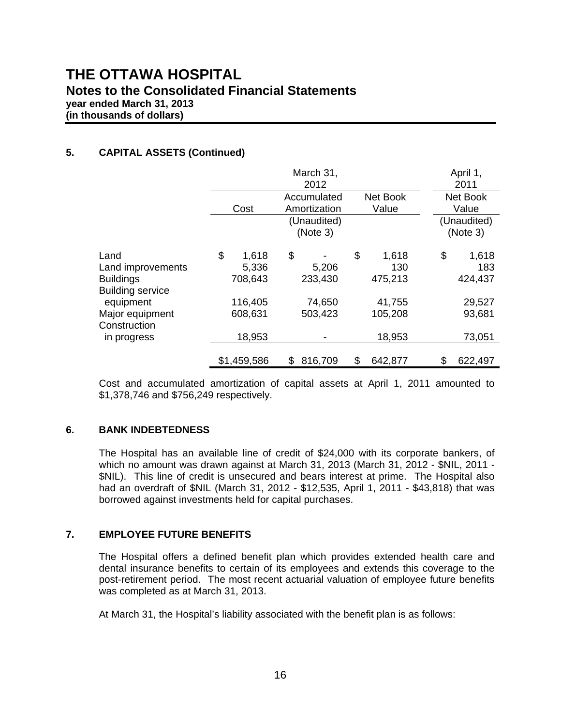# **THE OTTAWA HOSPITAL Notes to the Consolidated Financial Statements year ended March 31, 2013**

**(in thousands of dollars)** 

# **5. CAPITAL ASSETS (Continued)**

|                                                                          |                                 | April 1,<br>2011            |                               |                               |
|--------------------------------------------------------------------------|---------------------------------|-----------------------------|-------------------------------|-------------------------------|
|                                                                          | Cost                            | Accumulated<br>Amortization | Net Book<br>Value             |                               |
|                                                                          |                                 | (Unaudited)<br>(Note 3)     | (Unaudited)<br>(Note 3)       |                               |
| Land<br>Land improvements<br><b>Buildings</b><br><b>Building service</b> | \$<br>1,618<br>5,336<br>708,643 | \$<br>5,206<br>233,430      | \$<br>1,618<br>130<br>475,213 | \$<br>1,618<br>183<br>424,437 |
| equipment                                                                | 116,405                         | 74,650                      | 41,755                        | 29,527                        |
| Major equipment<br>Construction                                          | 608,631                         | 503,423                     | 105,208                       | 93,681                        |
| in progress                                                              | 18,953                          |                             | 18,953                        | 73,051                        |
|                                                                          | \$1,459,586                     | 816,709<br>S                | \$<br>642,877                 | 622,497<br>\$                 |

Cost and accumulated amortization of capital assets at April 1, 2011 amounted to \$1,378,746 and \$756,249 respectively.

# **6. BANK INDEBTEDNESS**

The Hospital has an available line of credit of \$24,000 with its corporate bankers, of which no amount was drawn against at March 31, 2013 (March 31, 2012 - \$NIL, 2011 - \$NIL). This line of credit is unsecured and bears interest at prime. The Hospital also had an overdraft of \$NIL (March 31, 2012 - \$12,535, April 1, 2011 - \$43,818) that was borrowed against investments held for capital purchases.

# **7. EMPLOYEE FUTURE BENEFITS**

The Hospital offers a defined benefit plan which provides extended health care and dental insurance benefits to certain of its employees and extends this coverage to the post-retirement period. The most recent actuarial valuation of employee future benefits was completed as at March 31, 2013.

At March 31, the Hospital's liability associated with the benefit plan is as follows: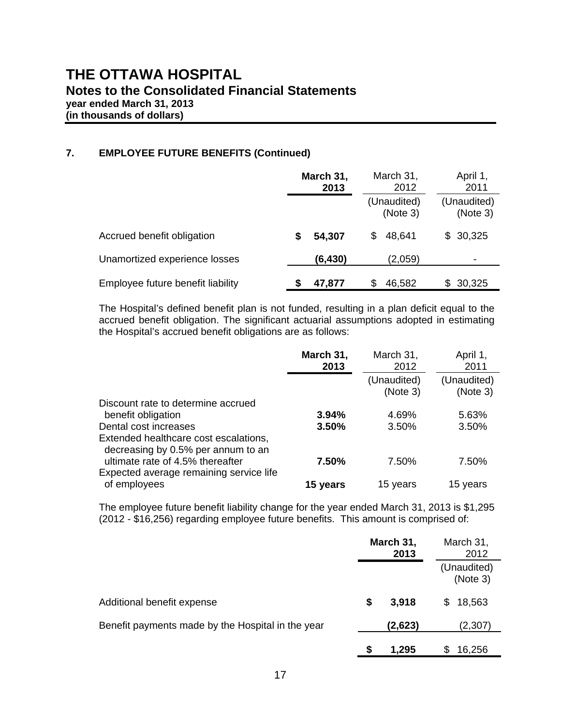# **7. EMPLOYEE FUTURE BENEFITS (Continued)**

|                                   | March 31,<br>2013 |          |   | March 31,<br>2012       |  | April 1,<br>2011        |
|-----------------------------------|-------------------|----------|---|-------------------------|--|-------------------------|
|                                   |                   |          |   | (Unaudited)<br>(Note 3) |  | (Unaudited)<br>(Note 3) |
| Accrued benefit obligation        | S                 | 54,307   | S | 48,641                  |  | \$30,325                |
| Unamortized experience losses     |                   | (6, 430) |   | (2,059)                 |  |                         |
| Employee future benefit liability |                   | 47,877   |   | 46,582                  |  | 30,325                  |

The Hospital's defined benefit plan is not funded, resulting in a plan deficit equal to the accrued benefit obligation. The significant actuarial assumptions adopted in estimating the Hospital's accrued benefit obligations are as follows:

|                                                                             | March 31,<br>2013 | March 31,<br>2012       | April 1,<br>2011        |
|-----------------------------------------------------------------------------|-------------------|-------------------------|-------------------------|
|                                                                             |                   | (Unaudited)<br>(Note 3) | (Unaudited)<br>(Note 3) |
| Discount rate to determine accrued                                          |                   |                         |                         |
| benefit obligation                                                          | $3.94\%$          | 4.69%                   | 5.63%                   |
| Dental cost increases                                                       | 3.50%             | 3.50%                   | 3.50%                   |
| Extended healthcare cost escalations,<br>decreasing by 0.5% per annum to an |                   |                         |                         |
| ultimate rate of 4.5% thereafter<br>Expected average remaining service life | 7.50%             | 7.50%                   | 7.50%                   |
| of employees                                                                | 15 years          | 15 years                | 15 years                |

The employee future benefit liability change for the year ended March 31, 2013 is \$1,295 (2012 - \$16,256) regarding employee future benefits. This amount is comprised of:

|                                                   |   | March 31,<br>2013 | March 31,<br>2012 |                         |  |
|---------------------------------------------------|---|-------------------|-------------------|-------------------------|--|
|                                                   |   |                   |                   | (Unaudited)<br>(Note 3) |  |
| Additional benefit expense                        | S | 3,918             | SS.               | 18,563                  |  |
| Benefit payments made by the Hospital in the year |   | (2,623)           |                   | (2,307)                 |  |
|                                                   | S | 1,295             | S.                | 16,256                  |  |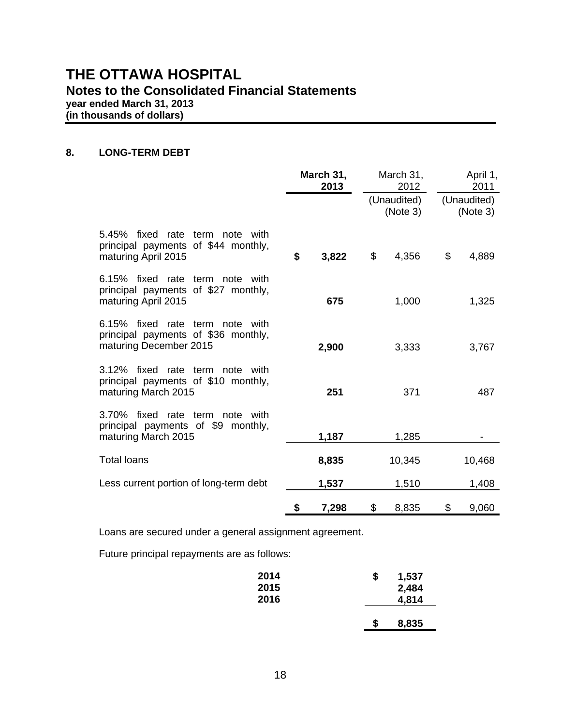# **8. LONG-TERM DEBT**

|                                                                                                  | March 31,<br>2013 | March 31,<br>2012<br>(Unaudited)<br>(Note 3) |        | April 1,<br>2011<br>(Unaudited)<br>(Note 3) |        |
|--------------------------------------------------------------------------------------------------|-------------------|----------------------------------------------|--------|---------------------------------------------|--------|
| 5.45% fixed rate term note with<br>principal payments of \$44 monthly,<br>maturing April 2015    | \$<br>3,822       | \$                                           | 4,356  | \$                                          | 4,889  |
| 6.15% fixed rate term note with<br>principal payments of \$27 monthly,<br>maturing April 2015    | 675               |                                              | 1,000  |                                             | 1,325  |
| 6.15% fixed rate term note with<br>principal payments of \$36 monthly,<br>maturing December 2015 | 2,900             |                                              | 3,333  |                                             | 3,767  |
| 3.12% fixed rate term note with<br>principal payments of \$10 monthly,<br>maturing March 2015    | 251               |                                              | 371    |                                             | 487    |
| 3.70% fixed rate term note with<br>principal payments of \$9 monthly,<br>maturing March 2015     | 1,187             |                                              | 1,285  |                                             |        |
| <b>Total loans</b>                                                                               | 8,835             |                                              | 10,345 |                                             | 10,468 |
| Less current portion of long-term debt                                                           | 1,537             |                                              | 1,510  |                                             | 1,408  |
|                                                                                                  | \$<br>7,298       | \$                                           | 8,835  | \$                                          | 9,060  |

Loans are secured under a general assignment agreement.

Future principal repayments are as follows:

| 2014<br>2015<br>2016 | \$ | 1,537<br>2,484<br>4,814 |
|----------------------|----|-------------------------|
|                      | S  | 8,835                   |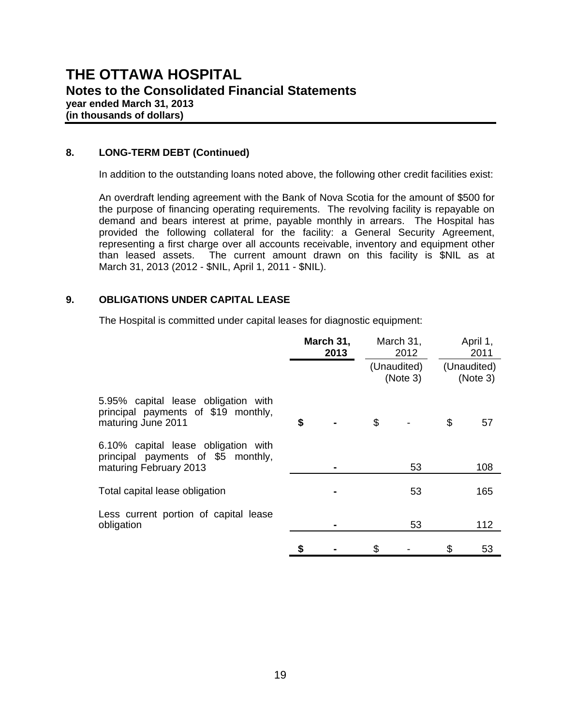# **8. LONG-TERM DEBT (Continued)**

In addition to the outstanding loans noted above, the following other credit facilities exist:

An overdraft lending agreement with the Bank of Nova Scotia for the amount of \$500 for the purpose of financing operating requirements. The revolving facility is repayable on demand and bears interest at prime, payable monthly in arrears. The Hospital has provided the following collateral for the facility: a General Security Agreement, representing a first charge over all accounts receivable, inventory and equipment other than leased assets. The current amount drawn on this facility is \$NIL as at March 31, 2013 (2012 - \$NIL, April 1, 2011 - \$NIL).

# **9. OBLIGATIONS UNDER CAPITAL LEASE**

The Hospital is committed under capital leases for diagnostic equipment:

|                                                                                                     | March 31,<br>2013 | March 31,<br>2012       | April 1,<br>2011        |
|-----------------------------------------------------------------------------------------------------|-------------------|-------------------------|-------------------------|
|                                                                                                     |                   | (Unaudited)<br>(Note 3) | (Unaudited)<br>(Note 3) |
| 5.95% capital lease obligation with<br>principal payments of \$19 monthly,<br>maturing June 2011    | \$                | \$                      | \$<br>57                |
| 6.10% capital lease obligation with<br>principal payments of \$5 monthly,<br>maturing February 2013 |                   | 53                      | 108                     |
| Total capital lease obligation                                                                      |                   | 53                      | 165                     |
| Less current portion of capital lease<br>obligation                                                 |                   | 53                      | 112                     |
|                                                                                                     | \$                | \$                      | \$<br>53                |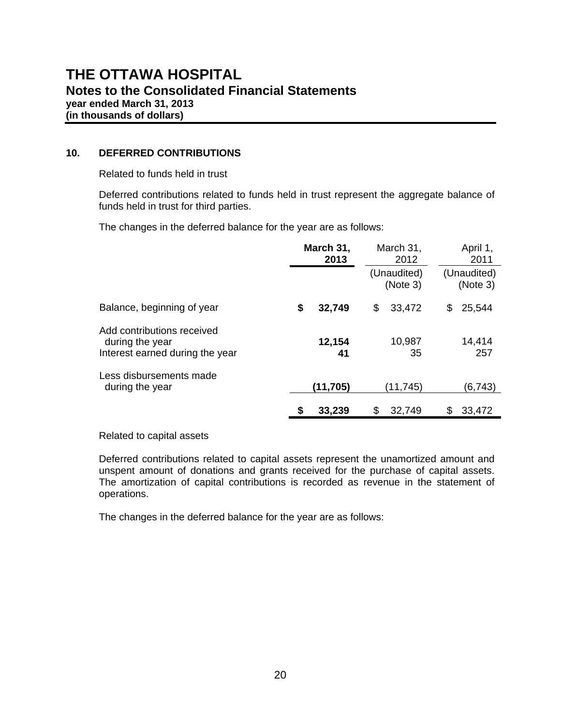**10. DEFERRED CONTRIBUTIONS**

Related to funds held in trust

Deferred contributions related to funds held in trust represent the aggregate balance of funds held in trust for third parties.

The changes in the deferred balance for the year are as follows:

|                                                                                  | March 31,<br>2013 | March 31,<br>2012       | April 1,<br>2011        |
|----------------------------------------------------------------------------------|-------------------|-------------------------|-------------------------|
|                                                                                  |                   | (Unaudited)<br>(Note 3) | (Unaudited)<br>(Note 3) |
| Balance, beginning of year                                                       | \$<br>32,749      | \$<br>33,472            | \$<br>25,544            |
| Add contributions received<br>during the year<br>Interest earned during the year | 12,154<br>41      | 10,987<br>35            | 14,414<br>257           |
| Less disbursements made<br>during the year                                       | (11,705)          | (11,745)                | (6,743)                 |
|                                                                                  | 33,239            | \$<br>32,749            | 33,472                  |

Related to capital assets

Deferred contributions related to capital assets represent the unamortized amount and unspent amount of donations and grants received for the purchase of capital assets. The amortization of capital contributions is recorded as revenue in the statement of operations.

The changes in the deferred balance for the year are as follows: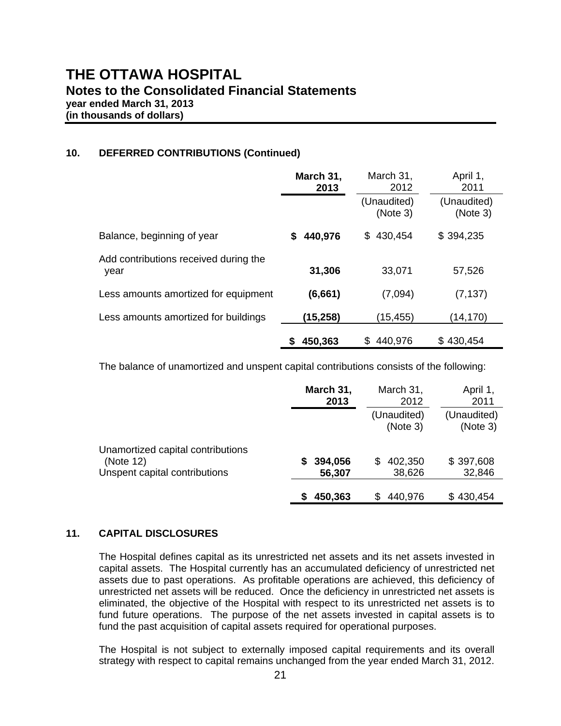# **THE OTTAWA HOSPITAL Notes to the Consolidated Financial Statements year ended March 31, 2013**

**(in thousands of dollars)** 

# **10. DEFERRED CONTRIBUTIONS (Continued)**

|                                               | March 31,<br>2013 | March 31,<br>2012       | April 1,<br>2011        |
|-----------------------------------------------|-------------------|-------------------------|-------------------------|
|                                               |                   | (Unaudited)<br>(Note 3) | (Unaudited)<br>(Note 3) |
| Balance, beginning of year                    | 440,976<br>S      | 430,454<br>\$.          | \$394,235               |
| Add contributions received during the<br>year | 31,306            | 33,071                  | 57,526                  |
| Less amounts amortized for equipment          | (6,661)           | (7,094)                 | (7, 137)                |
| Less amounts amortized for buildings          | (15,258)          | (15,455)                | (14,170)                |
|                                               | 450,363           | 440,976                 | \$430,454               |

The balance of unamortized and unspent capital contributions consists of the following:

|                                                                                 | March 31,<br>2013      | March 31,<br>2012       | April 1,<br>2011        |
|---------------------------------------------------------------------------------|------------------------|-------------------------|-------------------------|
|                                                                                 |                        | (Unaudited)<br>(Note 3) | (Unaudited)<br>(Note 3) |
| Unamortized capital contributions<br>(Note 12)<br>Unspent capital contributions | 394,056<br>S<br>56,307 | 402,350<br>S.<br>38,626 | \$397,608<br>32,846     |
|                                                                                 | 450,363                | 440,976                 | \$430,454               |

# **11. CAPITAL DISCLOSURES**

 The Hospital defines capital as its unrestricted net assets and its net assets invested in capital assets. The Hospital currently has an accumulated deficiency of unrestricted net assets due to past operations. As profitable operations are achieved, this deficiency of unrestricted net assets will be reduced. Once the deficiency in unrestricted net assets is eliminated, the objective of the Hospital with respect to its unrestricted net assets is to fund future operations. The purpose of the net assets invested in capital assets is to fund the past acquisition of capital assets required for operational purposes.

The Hospital is not subject to externally imposed capital requirements and its overall strategy with respect to capital remains unchanged from the year ended March 31, 2012.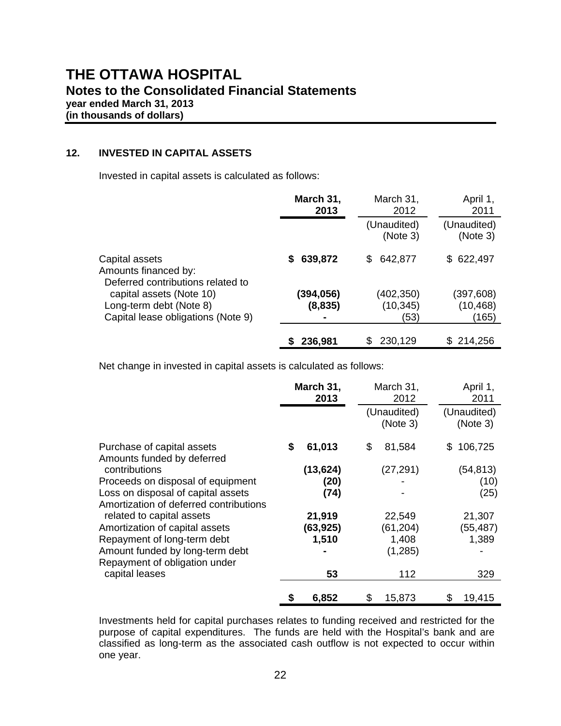# **12. INVESTED IN CAPITAL ASSETS**

Invested in capital assets is calculated as follows:

|                                                                             | March 31,<br>2013 | March 31,<br>2012       | April 1,<br>2011        |
|-----------------------------------------------------------------------------|-------------------|-------------------------|-------------------------|
|                                                                             |                   | (Unaudited)<br>(Note 3) | (Unaudited)<br>(Note 3) |
| Capital assets<br>Amounts financed by:<br>Deferred contributions related to | 639,872<br>S      | 642,877<br>S.           | \$622,497               |
| capital assets (Note 10)                                                    | (394,056)         | (402, 350)              | (397,608)               |
| Long-term debt (Note 8)                                                     | (8, 835)          | (10, 345)               | (10, 468)               |
| Capital lease obligations (Note 9)                                          | ۰                 | (53)                    | (165)                   |
|                                                                             | 236,981<br>S      | 230,129                 | 214,256                 |

Net change in invested in capital assets is calculated as follows:

|                                                          | March 31,<br>2013 |           | March 31,<br>2012 |                         | April 1,<br>2011 |                         |
|----------------------------------------------------------|-------------------|-----------|-------------------|-------------------------|------------------|-------------------------|
|                                                          |                   |           |                   | (Unaudited)<br>(Note 3) |                  | (Unaudited)<br>(Note 3) |
| Purchase of capital assets<br>Amounts funded by deferred | \$                | 61,013    | \$                | 81,584                  |                  | \$106,725               |
| contributions                                            |                   | (13, 624) |                   | (27, 291)               |                  | (54, 813)               |
| Proceeds on disposal of equipment                        |                   | (20)      |                   |                         |                  | (10)                    |
| Loss on disposal of capital assets                       |                   | (74)      |                   |                         |                  | (25)                    |
| Amortization of deferred contributions                   |                   |           |                   |                         |                  |                         |
| related to capital assets                                |                   | 21,919    |                   | 22,549                  |                  | 21,307                  |
| Amortization of capital assets                           |                   | (63, 925) |                   | (61, 204)               |                  | (55,487)                |
| Repayment of long-term debt                              |                   | 1,510     |                   | 1,408                   |                  | 1,389                   |
| Amount funded by long-term debt                          |                   |           |                   | (1, 285)                |                  |                         |
| Repayment of obligation under                            |                   |           |                   |                         |                  |                         |
| capital leases                                           |                   | 53        |                   | 112                     |                  | 329                     |
|                                                          | \$                | 6,852     | \$                | 15,873                  | \$               | 19,415                  |

Investments held for capital purchases relates to funding received and restricted for the purpose of capital expenditures. The funds are held with the Hospital's bank and are classified as long-term as the associated cash outflow is not expected to occur within one year.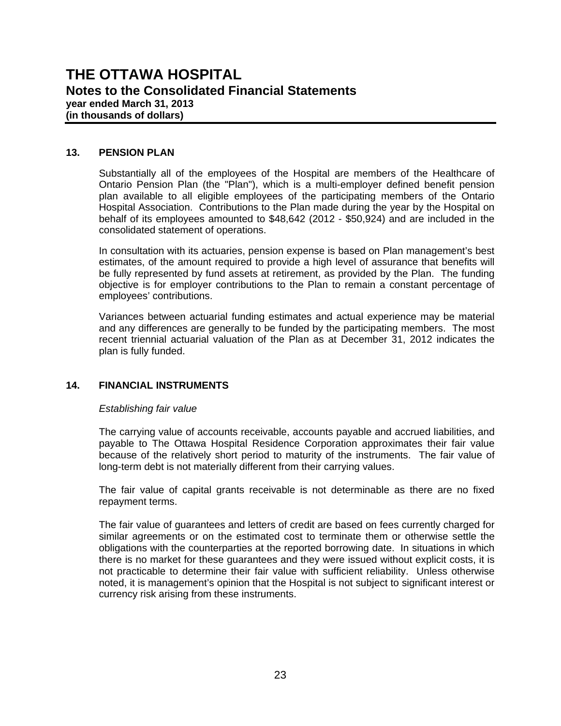# **13. PENSION PLAN**

 Substantially all of the employees of the Hospital are members of the Healthcare of Ontario Pension Plan (the "Plan"), which is a multi-employer defined benefit pension plan available to all eligible employees of the participating members of the Ontario Hospital Association. Contributions to the Plan made during the year by the Hospital on behalf of its employees amounted to \$48,642 (2012 - \$50,924) and are included in the consolidated statement of operations.

 In consultation with its actuaries, pension expense is based on Plan management's best estimates, of the amount required to provide a high level of assurance that benefits will be fully represented by fund assets at retirement, as provided by the Plan. The funding objective is for employer contributions to the Plan to remain a constant percentage of employees' contributions.

 Variances between actuarial funding estimates and actual experience may be material and any differences are generally to be funded by the participating members. The most recent triennial actuarial valuation of the Plan as at December 31, 2012 indicates the plan is fully funded.

# **14. FINANCIAL INSTRUMENTS**

#### *Establishing fair value*

The carrying value of accounts receivable, accounts payable and accrued liabilities, and payable to The Ottawa Hospital Residence Corporation approximates their fair value because of the relatively short period to maturity of the instruments. The fair value of long-term debt is not materially different from their carrying values.

The fair value of capital grants receivable is not determinable as there are no fixed repayment terms.

 The fair value of guarantees and letters of credit are based on fees currently charged for similar agreements or on the estimated cost to terminate them or otherwise settle the obligations with the counterparties at the reported borrowing date. In situations in which there is no market for these guarantees and they were issued without explicit costs, it is not practicable to determine their fair value with sufficient reliability. Unless otherwise noted, it is management's opinion that the Hospital is not subject to significant interest or currency risk arising from these instruments.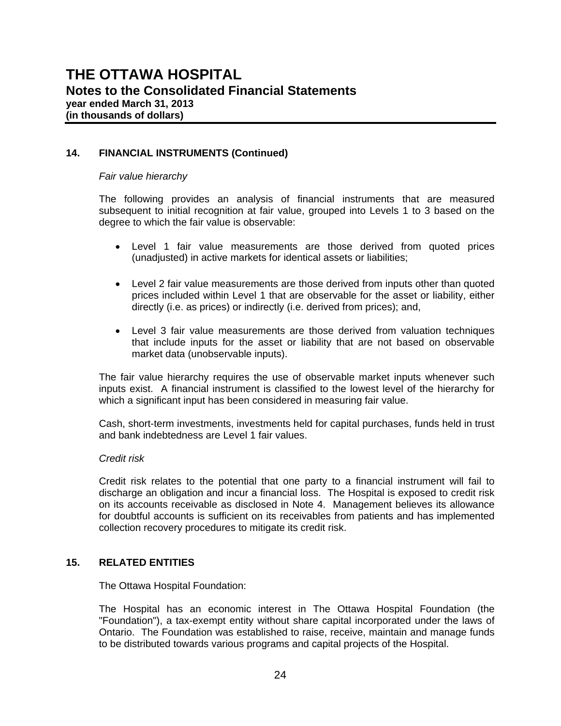# **14. FINANCIAL INSTRUMENTS (Continued)**

## *Fair value hierarchy*

 The following provides an analysis of financial instruments that are measured subsequent to initial recognition at fair value, grouped into Levels 1 to 3 based on the degree to which the fair value is observable:

- Level 1 fair value measurements are those derived from quoted prices (unadjusted) in active markets for identical assets or liabilities;
- Level 2 fair value measurements are those derived from inputs other than quoted prices included within Level 1 that are observable for the asset or liability, either directly (i.e. as prices) or indirectly (i.e. derived from prices); and,
- Level 3 fair value measurements are those derived from valuation techniques that include inputs for the asset or liability that are not based on observable market data (unobservable inputs).

The fair value hierarchy requires the use of observable market inputs whenever such inputs exist. A financial instrument is classified to the lowest level of the hierarchy for which a significant input has been considered in measuring fair value.

Cash, short-term investments, investments held for capital purchases, funds held in trust and bank indebtedness are Level 1 fair values.

#### *Credit risk*

 Credit risk relates to the potential that one party to a financial instrument will fail to discharge an obligation and incur a financial loss. The Hospital is exposed to credit risk on its accounts receivable as disclosed in Note 4. Management believes its allowance for doubtful accounts is sufficient on its receivables from patients and has implemented collection recovery procedures to mitigate its credit risk.

# **15. RELATED ENTITIES**

The Ottawa Hospital Foundation:

 The Hospital has an economic interest in The Ottawa Hospital Foundation (the "Foundation"), a tax-exempt entity without share capital incorporated under the laws of Ontario. The Foundation was established to raise, receive, maintain and manage funds to be distributed towards various programs and capital projects of the Hospital.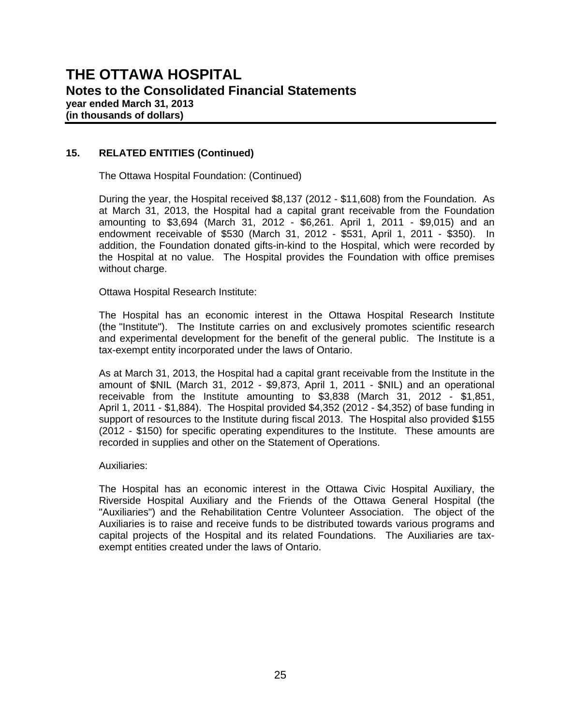# **15. RELATED ENTITIES (Continued)**

The Ottawa Hospital Foundation: (Continued)

 During the year, the Hospital received \$8,137 (2012 - \$11,608) from the Foundation. As at March 31, 2013, the Hospital had a capital grant receivable from the Foundation amounting to \$3,694 (March 31, 2012 - \$6,261. April 1, 2011 - \$9,015) and an endowment receivable of \$530 (March 31, 2012 - \$531, April 1, 2011 - \$350). In addition, the Foundation donated gifts-in-kind to the Hospital, which were recorded by the Hospital at no value. The Hospital provides the Foundation with office premises without charge.

Ottawa Hospital Research Institute:

 The Hospital has an economic interest in the Ottawa Hospital Research Institute (the "Institute"). The Institute carries on and exclusively promotes scientific research and experimental development for the benefit of the general public. The Institute is a tax-exempt entity incorporated under the laws of Ontario.

 As at March 31, 2013, the Hospital had a capital grant receivable from the Institute in the amount of \$NIL (March 31, 2012 - \$9,873, April 1, 2011 - \$NIL) and an operational receivable from the Institute amounting to \$3,838 (March 31, 2012 - \$1,851, April 1, 2011 - \$1,884). The Hospital provided \$4,352 (2012 - \$4,352) of base funding in support of resources to the Institute during fiscal 2013. The Hospital also provided \$155 (2012 - \$150) for specific operating expenditures to the Institute. These amounts are recorded in supplies and other on the Statement of Operations.

Auxiliaries:

 The Hospital has an economic interest in the Ottawa Civic Hospital Auxiliary, the Riverside Hospital Auxiliary and the Friends of the Ottawa General Hospital (the "Auxiliaries") and the Rehabilitation Centre Volunteer Association. The object of the Auxiliaries is to raise and receive funds to be distributed towards various programs and capital projects of the Hospital and its related Foundations. The Auxiliaries are taxexempt entities created under the laws of Ontario.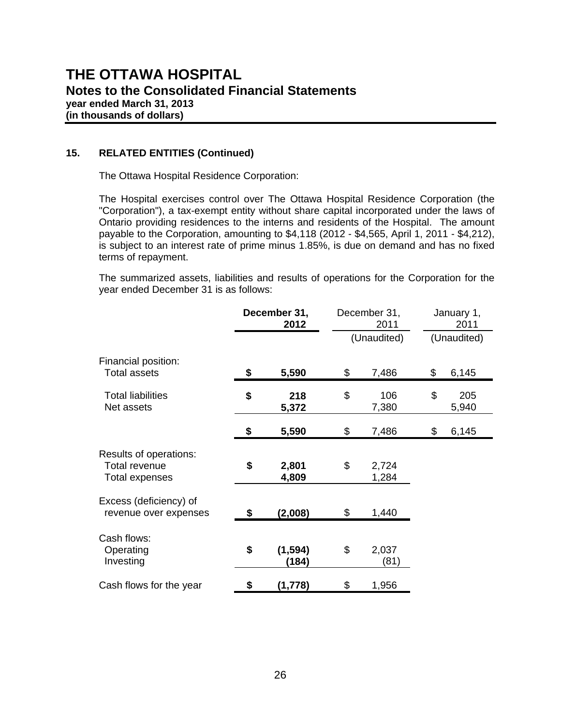# **15. RELATED ENTITIES (Continued)**

The Ottawa Hospital Residence Corporation:

 The Hospital exercises control over The Ottawa Hospital Residence Corporation (the "Corporation"), a tax-exempt entity without share capital incorporated under the laws of Ontario providing residences to the interns and residents of the Hospital. The amount payable to the Corporation, amounting to \$4,118 (2012 - \$4,565, April 1, 2011 - \$4,212), is subject to an interest rate of prime minus 1.85%, is due on demand and has no fixed terms of repayment.

 The summarized assets, liabilities and results of operations for the Corporation for the year ended December 31 is as follows:

|                                                           | December 31,<br>2012 |                   | December 31,<br>2011 |                | January 1,<br>2011 |              |
|-----------------------------------------------------------|----------------------|-------------------|----------------------|----------------|--------------------|--------------|
|                                                           |                      |                   | (Unaudited)          |                | (Unaudited)        |              |
| Financial position:<br><b>Total assets</b>                | \$                   | 5,590             | \$                   | 7,486          | \$                 | 6,145        |
| <b>Total liabilities</b><br>Net assets                    | \$                   | 218<br>5,372      | \$                   | 106<br>7,380   | \$                 | 205<br>5,940 |
|                                                           | \$                   | 5,590             | \$                   | 7,486          | \$                 | 6,145        |
| Results of operations:<br>Total revenue<br>Total expenses | \$                   | 2,801<br>4,809    | \$                   | 2,724<br>1,284 |                    |              |
| Excess (deficiency) of<br>revenue over expenses           | S                    | (2,008)           | \$                   | 1,440          |                    |              |
| Cash flows:<br>Operating<br>Investing                     | \$                   | (1, 594)<br>(184) | \$                   | 2,037<br>(81)  |                    |              |
| Cash flows for the year                                   | S                    | (1,778)           | \$                   | 1,956          |                    |              |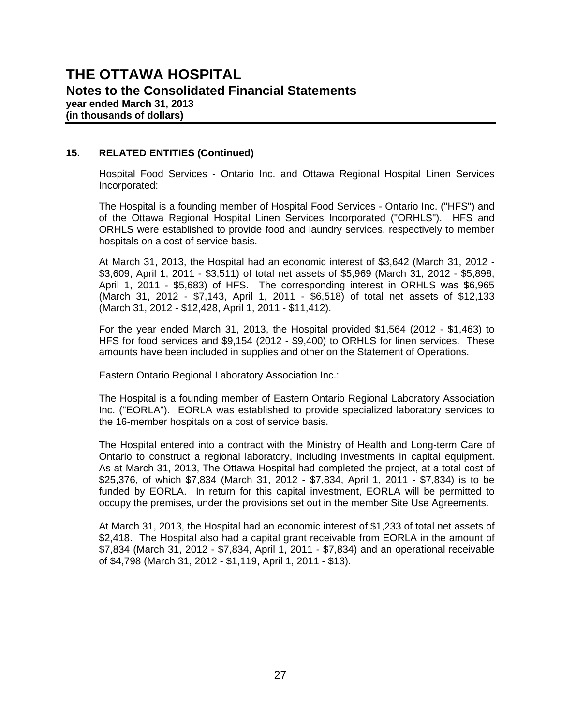# **15. RELATED ENTITIES (Continued)**

 Hospital Food Services - Ontario Inc. and Ottawa Regional Hospital Linen Services Incorporated:

 The Hospital is a founding member of Hospital Food Services - Ontario Inc. ("HFS") and of the Ottawa Regional Hospital Linen Services Incorporated ("ORHLS"). HFS and ORHLS were established to provide food and laundry services, respectively to member hospitals on a cost of service basis.

 At March 31, 2013, the Hospital had an economic interest of \$3,642 (March 31, 2012 - \$3,609, April 1, 2011 - \$3,511) of total net assets of \$5,969 (March 31, 2012 - \$5,898, April 1, 2011 - \$5,683) of HFS. The corresponding interest in ORHLS was \$6,965 (March 31, 2012 - \$7,143, April 1, 2011 - \$6,518) of total net assets of \$12,133 (March 31, 2012 - \$12,428, April 1, 2011 - \$11,412).

 For the year ended March 31, 2013, the Hospital provided \$1,564 (2012 - \$1,463) to HFS for food services and \$9,154 (2012 - \$9,400) to ORHLS for linen services. These amounts have been included in supplies and other on the Statement of Operations.

Eastern Ontario Regional Laboratory Association Inc.:

 The Hospital is a founding member of Eastern Ontario Regional Laboratory Association Inc. ("EORLA"). EORLA was established to provide specialized laboratory services to the 16-member hospitals on a cost of service basis.

 The Hospital entered into a contract with the Ministry of Health and Long-term Care of Ontario to construct a regional laboratory, including investments in capital equipment. As at March 31, 2013, The Ottawa Hospital had completed the project, at a total cost of \$25,376, of which \$7,834 (March 31, 2012 - \$7,834, April 1, 2011 - \$7,834) is to be funded by EORLA. In return for this capital investment, EORLA will be permitted to occupy the premises, under the provisions set out in the member Site Use Agreements.

 At March 31, 2013, the Hospital had an economic interest of \$1,233 of total net assets of \$2,418. The Hospital also had a capital grant receivable from EORLA in the amount of \$7,834 (March 31, 2012 - \$7,834, April 1, 2011 - \$7,834) and an operational receivable of \$4,798 (March 31, 2012 - \$1,119, April 1, 2011 - \$13).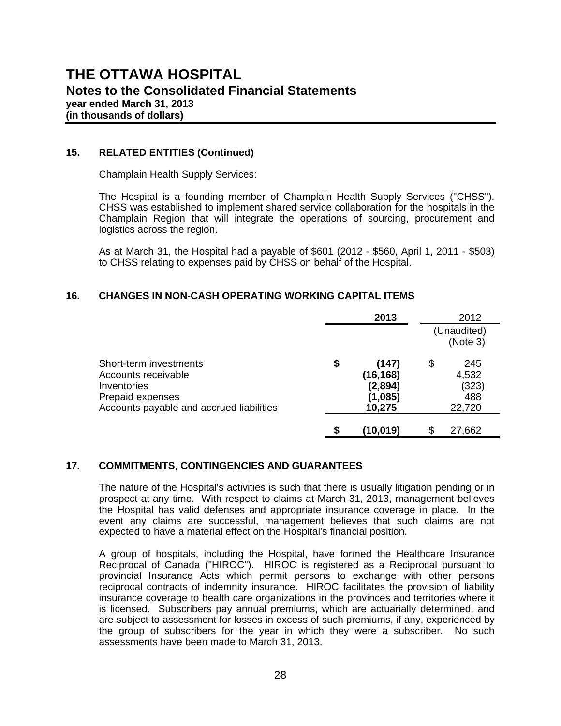# **15. RELATED ENTITIES (Continued)**

Champlain Health Supply Services:

 The Hospital is a founding member of Champlain Health Supply Services ("CHSS"). CHSS was established to implement shared service collaboration for the hospitals in the Champlain Region that will integrate the operations of sourcing, procurement and logistics across the region.

 As at March 31, the Hospital had a payable of \$601 (2012 - \$560, April 1, 2011 - \$503) to CHSS relating to expenses paid by CHSS on behalf of the Hospital.

# **16. CHANGES IN NON-CASH OPERATING WORKING CAPITAL ITEMS**

|                                                                                                                              |    | 2013                                               | 2012                    |                                        |  |
|------------------------------------------------------------------------------------------------------------------------------|----|----------------------------------------------------|-------------------------|----------------------------------------|--|
|                                                                                                                              |    |                                                    | (Unaudited)<br>(Note 3) |                                        |  |
| Short-term investments<br>Accounts receivable<br>Inventories<br>Prepaid expenses<br>Accounts payable and accrued liabilities |    | (147)<br>(16, 168)<br>(2,894)<br>(1,085)<br>10,275 | \$                      | 245<br>4,532<br>(323)<br>488<br>22,720 |  |
|                                                                                                                              | \$ | (10,019)                                           | \$                      | 27,662                                 |  |

#### **17. COMMITMENTS, CONTINGENCIES AND GUARANTEES**

 The nature of the Hospital's activities is such that there is usually litigation pending or in prospect at any time. With respect to claims at March 31, 2013, management believes the Hospital has valid defenses and appropriate insurance coverage in place. In the event any claims are successful, management believes that such claims are not expected to have a material effect on the Hospital's financial position.

 A group of hospitals, including the Hospital, have formed the Healthcare Insurance Reciprocal of Canada ("HIROC"). HIROC is registered as a Reciprocal pursuant to provincial Insurance Acts which permit persons to exchange with other persons reciprocal contracts of indemnity insurance. HIROC facilitates the provision of liability insurance coverage to health care organizations in the provinces and territories where it is licensed. Subscribers pay annual premiums, which are actuarially determined, and are subject to assessment for losses in excess of such premiums, if any, experienced by the group of subscribers for the year in which they were a subscriber. No such assessments have been made to March 31, 2013.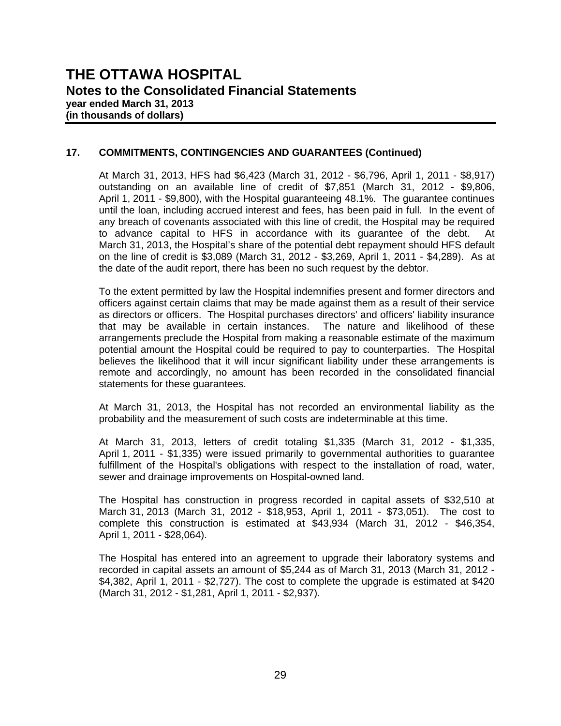# **17. COMMITMENTS, CONTINGENCIES AND GUARANTEES (Continued)**

At March 31, 2013, HFS had \$6,423 (March 31, 2012 - \$6,796, April 1, 2011 - \$8,917) outstanding on an available line of credit of \$7,851 (March 31, 2012 - \$9,806, April 1, 2011 - \$9,800), with the Hospital guaranteeing 48.1%. The guarantee continues until the loan, including accrued interest and fees, has been paid in full. In the event of any breach of covenants associated with this line of credit, the Hospital may be required to advance capital to HFS in accordance with its guarantee of the debt. At March 31, 2013, the Hospital's share of the potential debt repayment should HFS default on the line of credit is \$3,089 (March 31, 2012 - \$3,269, April 1, 2011 - \$4,289). As at the date of the audit report, there has been no such request by the debtor.

To the extent permitted by law the Hospital indemnifies present and former directors and officers against certain claims that may be made against them as a result of their service as directors or officers. The Hospital purchases directors' and officers' liability insurance that may be available in certain instances. The nature and likelihood of these arrangements preclude the Hospital from making a reasonable estimate of the maximum potential amount the Hospital could be required to pay to counterparties. The Hospital believes the likelihood that it will incur significant liability under these arrangements is remote and accordingly, no amount has been recorded in the consolidated financial statements for these guarantees.

At March 31, 2013, the Hospital has not recorded an environmental liability as the probability and the measurement of such costs are indeterminable at this time.

At March 31, 2013, letters of credit totaling \$1,335 (March 31, 2012 - \$1,335, April 1, 2011 - \$1,335) were issued primarily to governmental authorities to guarantee fulfillment of the Hospital's obligations with respect to the installation of road, water, sewer and drainage improvements on Hospital-owned land.

The Hospital has construction in progress recorded in capital assets of \$32,510 at March 31, 2013 (March 31, 2012 - \$18,953, April 1, 2011 - \$73,051). The cost to complete this construction is estimated at \$43,934 (March 31, 2012 - \$46,354, April 1, 2011 - \$28,064).

The Hospital has entered into an agreement to upgrade their laboratory systems and recorded in capital assets an amount of \$5,244 as of March 31, 2013 (March 31, 2012 - \$4,382, April 1, 2011 - \$2,727). The cost to complete the upgrade is estimated at \$420 (March 31, 2012 - \$1,281, April 1, 2011 - \$2,937).